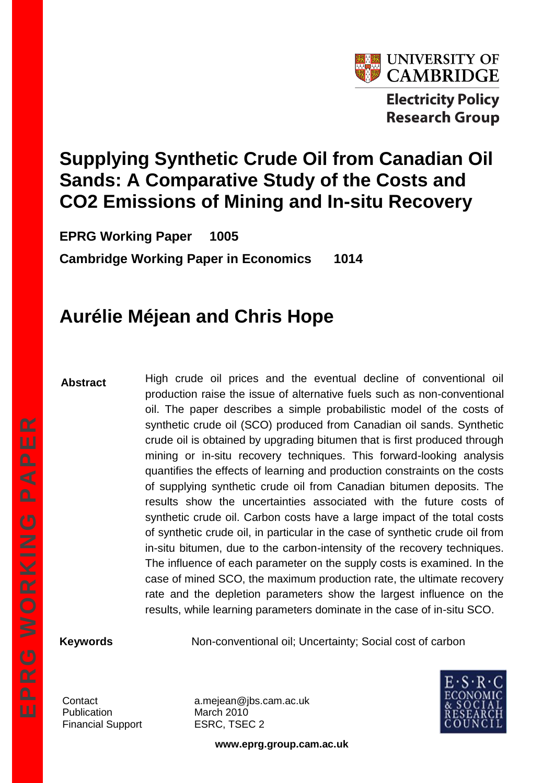

# **Supplying Synthetic Crude Oil from Canadian Oil Sands: A Comparative Study of the Costs and CO2 Emissions of Mining and In-situ Recovery**

**EPRG Working Paper 1005 Cambridge Working Paper in Economics 1014**

# **Aurélie Méjean and Chris Hope**

#### **Abstract**

High crude oil prices and the eventual decline of conventional oil production raise the issue of alternative fuels such as non-conventional oil. The paper describes a simple probabilistic model of the costs of synthetic crude oil (SCO) produced from Canadian oil sands. Synthetic crude oil is obtained by upgrading bitumen that is first produced through mining or in-situ recovery techniques. This forward-looking analysis quantifies the effects of learning and production constraints on the costs of supplying synthetic crude oil from Canadian bitumen deposits. The results show the uncertainties associated with the future costs of synthetic crude oil. Carbon costs have a large impact of the total costs of synthetic crude oil, in particular in the case of synthetic crude oil from in-situ bitumen, due to the carbon-intensity of the recovery techniques. The influence of each parameter on the supply costs is examined. In the case of mined SCO, the maximum production rate, the ultimate recovery rate and the depletion parameters show the largest influence on the results, while learning parameters dominate in the case of in-situ SCO.

**Keywords** Non-conventional oil; Uncertainty; Social cost of carbon

Publication March 2010 Financial Support ESRC, TSEC 2

Contact a.mejean@jbs.cam.ac.uk



**www.eprg.group.cam.ac.uk**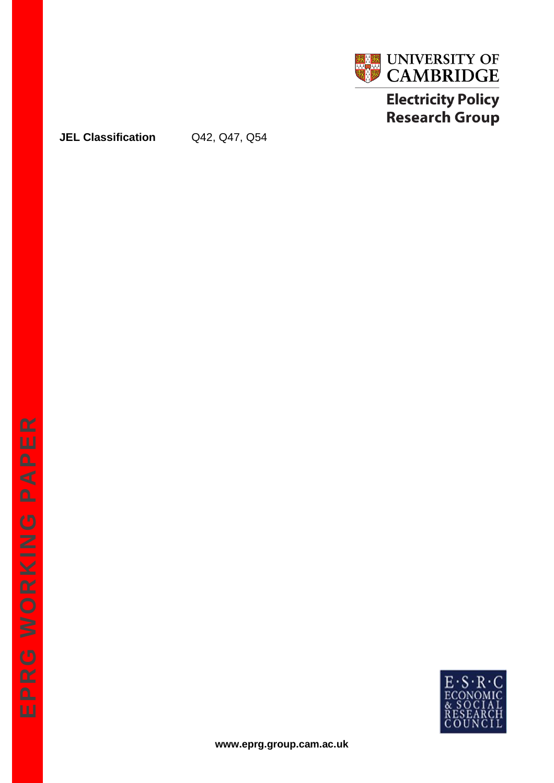

# **Electricity Policy Research Group**

### **JEL Classification** Q42, Q47, Q54

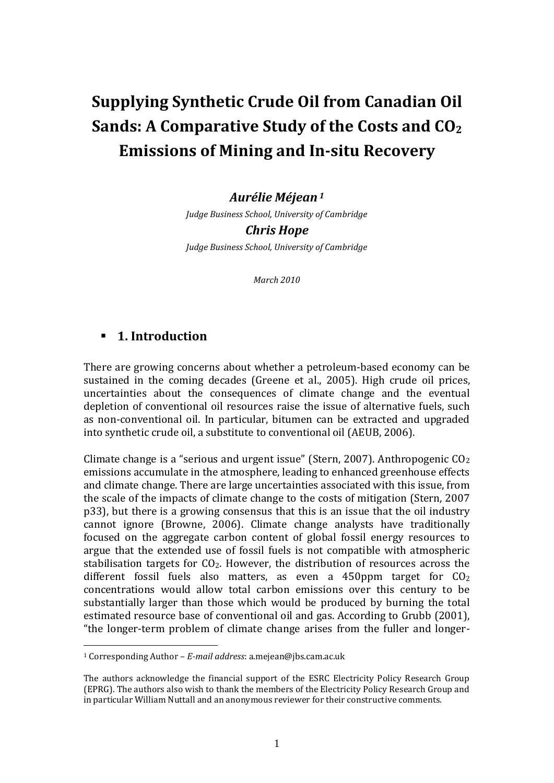# **Supplying Synthetic Crude Oil from Canadian Oil Sands: A Comparative Study of the Costs and CO<sup>2</sup> Emissions of Mining and In-situ Recovery**

#### *Aurélie Méjean<sup>1</sup>*

*Judge Business School, University of Cambridge Chris Hope Judge Business School, University of Cambridge*

*March 2010*

# **1. Introduction**

1

There are growing concerns about whether a petroleum-based economy can be sustained in the coming decades (Greene et al., 2005). High crude oil prices, uncertainties about the consequences of climate change and the eventual depletion of conventional oil resources raise the issue of alternative fuels, such as non-conventional oil. In particular, bitumen can be extracted and upgraded into synthetic crude oil, a substitute to conventional oil (AEUB, 2006).

Climate change is a "serious and urgent issue" (Stern, 2007). Anthropogenic  $CO<sub>2</sub>$ emissions accumulate in the atmosphere, leading to enhanced greenhouse effects and climate change. There are large uncertainties associated with this issue, from the scale of the impacts of climate change to the costs of mitigation (Stern, 2007 p33), but there is a growing consensus that this is an issue that the oil industry cannot ignore (Browne, 2006). Climate change analysts have traditionally focused on the aggregate carbon content of global fossil energy resources to argue that the extended use of fossil fuels is not compatible with atmospheric stabilisation targets for  $CO<sub>2</sub>$ . However, the distribution of resources across the different fossil fuels also matters, as even a 450ppm target for  $CO<sub>2</sub>$ concentrations would allow total carbon emissions over this century to be substantially larger than those which would be produced by burning the total estimated resource base of conventional oil and gas. According to Grubb (2001), "the longer-term problem of climate change arises from the fuller and longer-

<sup>1</sup> Corresponding Author – *E-mail address*: a.mejean@jbs.cam.ac.uk

The authors acknowledge the financial support of the ESRC Electricity Policy Research Group (EPRG). The authors also wish to thank the members of the Electricity Policy Research Group and in particular William Nuttall and an anonymous reviewer for their constructive comments.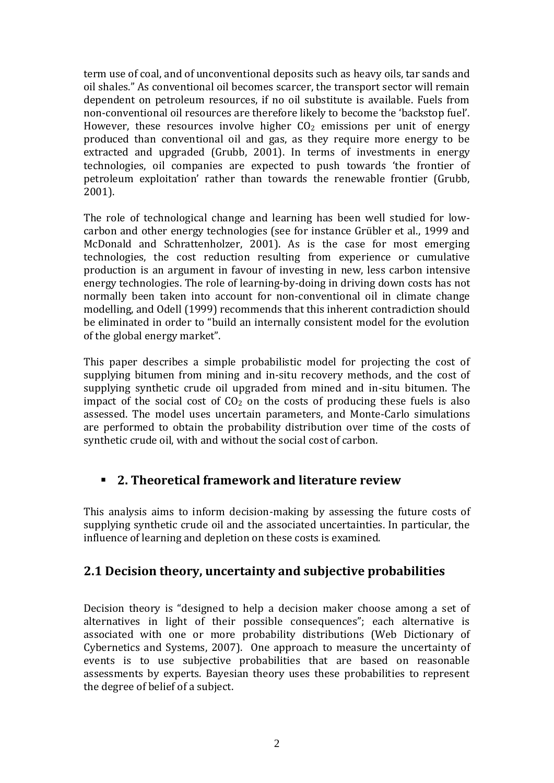term use of coal, and of unconventional deposits such as heavy oils, tar sands and oil shales." As conventional oil becomes scarcer, the transport sector will remain dependent on petroleum resources, if no oil substitute is available. Fuels from non-conventional oil resources are therefore likely to become the 'backstop fuel'. However, these resources involve higher  $CO<sub>2</sub>$  emissions per unit of energy produced than conventional oil and gas, as they require more energy to be extracted and upgraded (Grubb, 2001). In terms of investments in energy technologies, oil companies are expected to push towards 'the frontier of petroleum exploitation' rather than towards the renewable frontier (Grubb, 2001).

The role of technological change and learning has been well studied for lowcarbon and other energy technologies (see for instance Grübler et al., 1999 and McDonald and Schrattenholzer, 2001). As is the case for most emerging technologies, the cost reduction resulting from experience or cumulative production is an argument in favour of investing in new, less carbon intensive energy technologies. The role of learning-by-doing in driving down costs has not normally been taken into account for non-conventional oil in climate change modelling, and Odell (1999) recommends that this inherent contradiction should be eliminated in order to "build an internally consistent model for the evolution of the global energy market".

This paper describes a simple probabilistic model for projecting the cost of supplying bitumen from mining and in-situ recovery methods, and the cost of supplying synthetic crude oil upgraded from mined and in-situ bitumen. The impact of the social cost of  $CO<sub>2</sub>$  on the costs of producing these fuels is also assessed. The model uses uncertain parameters, and Monte-Carlo simulations are performed to obtain the probability distribution over time of the costs of synthetic crude oil, with and without the social cost of carbon.

# **2. Theoretical framework and literature review**

This analysis aims to inform decision-making by assessing the future costs of supplying synthetic crude oil and the associated uncertainties. In particular, the influence of learning and depletion on these costs is examined.

# **2.1 Decision theory, uncertainty and subjective probabilities**

Decision theory is "designed to help a decision maker choose among a set of alternatives in light of their possible consequences"; each alternative is associated with one or more probability distributions (Web Dictionary of Cybernetics and Systems, 2007). One approach to measure the uncertainty of events is to use subjective probabilities that are based on reasonable assessments by experts. Bayesian theory uses these probabilities to represent the degree of belief of a subject.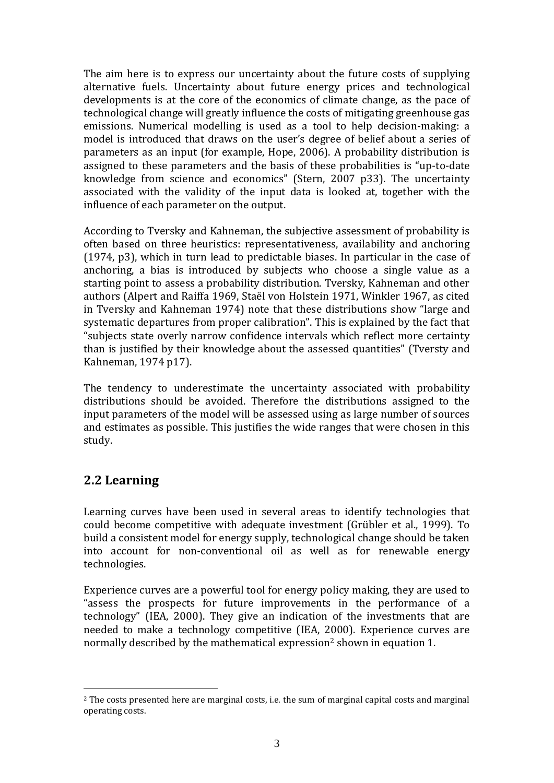The aim here is to express our uncertainty about the future costs of supplying alternative fuels. Uncertainty about future energy prices and technological developments is at the core of the economics of climate change, as the pace of technological change will greatly influence the costs of mitigating greenhouse gas emissions. Numerical modelling is used as a tool to help decision-making: a model is introduced that draws on the user's degree of belief about a series of parameters as an input (for example, Hope, 2006). A probability distribution is assigned to these parameters and the basis of these probabilities is "up-to-date knowledge from science and economics" (Stern, 2007 p33). The uncertainty associated with the validity of the input data is looked at, together with the influence of each parameter on the output.

According to Tversky and Kahneman, the subjective assessment of probability is often based on three heuristics: representativeness, availability and anchoring (1974, p3), which in turn lead to predictable biases. In particular in the case of anchoring, a bias is introduced by subjects who choose a single value as a starting point to assess a probability distribution. Tversky, Kahneman and other authors (Alpert and Raiffa 1969, Staël von Holstein 1971, Winkler 1967, as cited in Tversky and Kahneman 1974) note that these distributions show "large and systematic departures from proper calibration". This is explained by the fact that "subjects state overly narrow confidence intervals which reflect more certainty than is justified by their knowledge about the assessed quantities" (Tversty and Kahneman, 1974 p17).

The tendency to underestimate the uncertainty associated with probability distributions should be avoided. Therefore the distributions assigned to the input parameters of the model will be assessed using as large number of sources and estimates as possible. This justifies the wide ranges that were chosen in this study.

# **2.2 Learning**

1

Learning curves have been used in several areas to identify technologies that could become competitive with adequate investment (Grübler et al., 1999). To build a consistent model for energy supply, technological change should be taken into account for non-conventional oil as well as for renewable energy technologies.

Experience curves are a powerful tool for energy policy making, they are used to "assess the prospects for future improvements in the performance of a technology" (IEA, 2000). They give an indication of the investments that are needed to make a technology competitive (IEA, 2000). Experience curves are normally described by the mathematical expression<sup>2</sup> shown in equation 1.

<sup>2</sup> The costs presented here are marginal costs, i.e. the sum of marginal capital costs and marginal operating costs.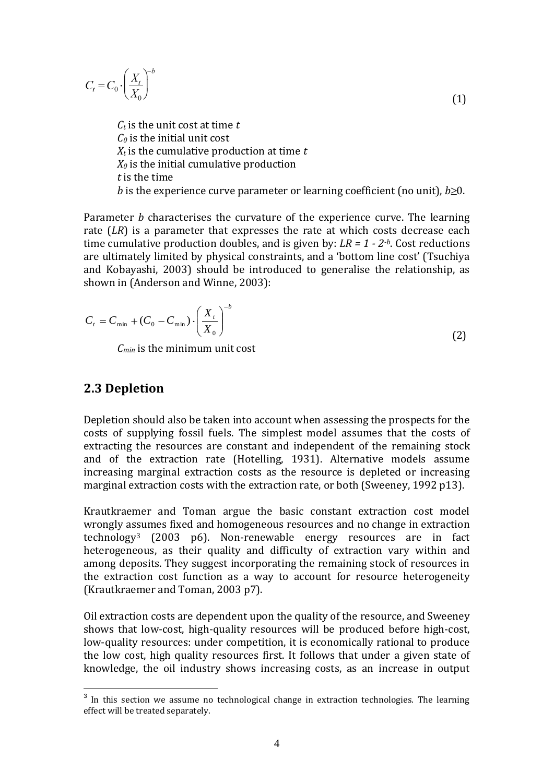$$
C_{t} = C_{0} \cdot \left(\frac{X_{t}}{X_{0}}\right)^{-b}
$$
  
\n
$$
C_{t} \text{ is the unit cost at time } t
$$
  
\n
$$
C_{0} \text{ is the initial unit cost}
$$
 (1)

*X<sup>t</sup>* is the cumulative production at time *t X<sup>0</sup>* is the initial cumulative production *t* is the time *b* is the experience curve parameter or learning coefficient (no unit),  $b \ge 0$ .

Parameter *b* characterises the curvature of the experience curve. The learning rate (*LR*) is a parameter that expresses the rate at which costs decrease each time cumulative production doubles, and is given by: *LR = 1 - 2-b*. Cost reductions are ultimately limited by physical constraints, and a 'bottom line cost' (Tsuchiya and Kobayashi, 2003) should be introduced to generalise the relationship, as shown in (Anderson and Winne, 2003):

$$
C_{t} = C_{\min} + (C_0 - C_{\min}) \cdot \left(\frac{X_{t}}{X_0}\right)^{-b}
$$
 (2)

*Cmin* is the minimum unit cost

# **2.3 Depletion**

1

Depletion should also be taken into account when assessing the prospects for the costs of supplying fossil fuels. The simplest model assumes that the costs of extracting the resources are constant and independent of the remaining stock and of the extraction rate (Hotelling, 1931). Alternative models assume increasing marginal extraction costs as the resource is depleted or increasing marginal extraction costs with the extraction rate, or both (Sweeney, 1992 p13).

Krautkraemer and Toman argue the basic constant extraction cost model wrongly assumes fixed and homogeneous resources and no change in extraction technology<sup>3</sup> (2003 p6). Non-renewable energy resources are in fact heterogeneous, as their quality and difficulty of extraction vary within and among deposits. They suggest incorporating the remaining stock of resources in the extraction cost function as a way to account for resource heterogeneity (Krautkraemer and Toman, 2003 p7).

Oil extraction costs are dependent upon the quality of the resource, and Sweeney shows that low-cost, high-quality resources will be produced before high-cost, low-quality resources: under competition, it is economically rational to produce the low cost, high quality resources first. It follows that under a given state of knowledge, the oil industry shows increasing costs, as an increase in output

 $3$  In this section we assume no technological change in extraction technologies. The learning effect will be treated separately.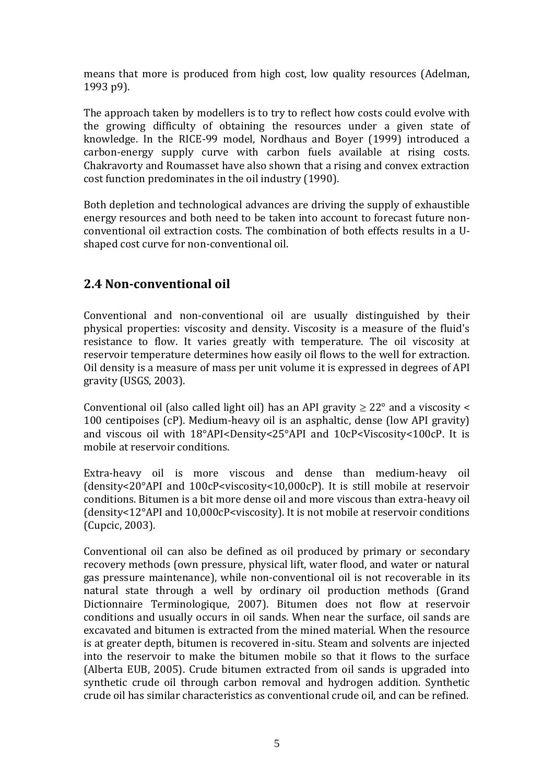means that more is produced from high cost, low quality resources (Adelman, 1993 p9).

The approach taken by modellers is to try to reflect how costs could evolve with the growing difficulty of obtaining the resources under a given state of knowledge. In the RICE-99 model, Nordhaus and Boyer (1999) introduced a carbon-energy supply curve with carbon fuels available at rising costs. Chakravorty and Roumasset have also shown that a rising and convex extraction cost function predominates in the oil industry (1990).

Both depletion and technological advances are driving the supply of exhaustible energy resources and both need to be taken into account to forecast future nonconventional oil extraction costs. The combination of both effects results in a Ushaped cost curve for non-conventional oil.

# **2.4 Non-conventional oil**

Conventional and non-conventional oil are usually distinguished by their physical properties: viscosity and density. Viscosity is a measure of the fluid's resistance to flow. It varies greatly with temperature. The oil viscosity at reservoir temperature determines how easily oil flows to the well for extraction. Oil density is a measure of mass per unit volume it is expressed in degrees of API gravity (USGS, 2003).

Conventional oil (also called light oil) has an API gravity  $\geq 22^\circ$  and a viscosity < 100 centipoises (cP). Medium-heavy oil is an asphaltic, dense (low API gravity) and viscous oil with 18°API<Density<25°API and 10cP<Viscosity<100cP. It is mobile at reservoir conditions.

Extra-heavy oil is more viscous and dense than medium-heavy oil (density<20°API and 100cP<viscosity<10,000cP). It is still mobile at reservoir conditions. Bitumen is a bit more dense oil and more viscous than extra-heavy oil (density<12°API and 10,000cP<viscosity). It is not mobile at reservoir conditions (Cupcic, 2003).

Conventional oil can also be defined as oil produced by primary or secondary recovery methods (own pressure, physical lift, water flood, and water or natural gas pressure maintenance), while non-conventional oil is not recoverable in its natural state through a well by ordinary oil production methods (Grand Dictionnaire Terminologique, 2007). Bitumen does not flow at reservoir conditions and usually occurs in oil sands. When near the surface, oil sands are excavated and bitumen is extracted from the mined material. When the resource is at greater depth, bitumen is recovered in-situ. Steam and solvents are injected into the reservoir to make the bitumen mobile so that it flows to the surface (Alberta EUB, 2005). Crude bitumen extracted from oil sands is upgraded into synthetic crude oil through carbon removal and hydrogen addition. Synthetic crude oil has similar characteristics as conventional crude oil, and can be refined.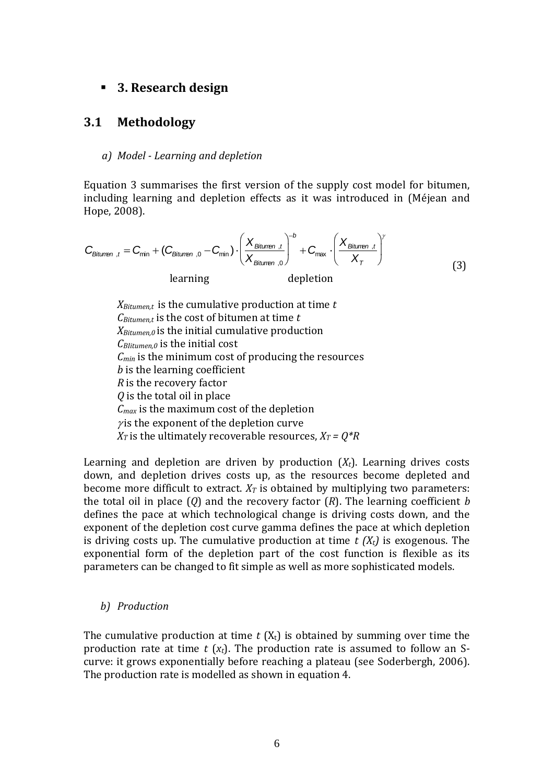### **3. Research design**

### **3.1 Methodology**

#### *a) Model - Learning and depletion*

Equation 3 summarises the first version of the supply cost model for bitumen, including learning and depletion effects as it was introduced in (Méjean and Hope, 2008).

$$
C_{\text{Bitumen }t} = C_{\text{min}} + (C_{\text{Bitumen }0} - C_{\text{min}}) \cdot \left(\frac{X_{\text{Bitumen }t}}{X_{\text{Bitumen }0}}\right)^{-b} + C_{\text{max}} \cdot \left(\frac{X_{\text{Bitumen }t}}{X_{\tau}}\right)^{\gamma}
$$
\n
$$
\text{learning} \qquad \text{depletion} \qquad (3)
$$

*XBitumen,t* is the cumulative production at time *t CBitumen,t* is the cost of bitumen at time *t XBitumen,0* is the initial cumulative production *CBIitumen,0* is the initial cost *Cmin* is the minimum cost of producing the resources *b* is the learning coefficient *R* is the recovery factor *Q* is the total oil in place *Cmax* is the maximum cost of the depletion  $\gamma$  is the exponent of the depletion curve *X*<sup>*T*</sup> is the ultimately recoverable resources,  $X_T = Q^*R$ 

Learning and depletion are driven by production (*Xt*). Learning drives costs down, and depletion drives costs up, as the resources become depleted and become more difficult to extract.  $X_T$  is obtained by multiplying two parameters: the total oil in place (*Q*) and the recovery factor (*R*). The learning coefficient *b* defines the pace at which technological change is driving costs down, and the exponent of the depletion cost curve gamma defines the pace at which depletion is driving costs up. The cumulative production at time *t (Xt)* is exogenous. The exponential form of the depletion part of the cost function is flexible as its parameters can be changed to fit simple as well as more sophisticated models.

#### *b) Production*

The cumulative production at time  $t(X_t)$  is obtained by summing over time the production rate at time *t* (*xt*). The production rate is assumed to follow an Scurve: it grows exponentially before reaching a plateau (see Soderbergh, 2006). The production rate is modelled as shown in equation 4.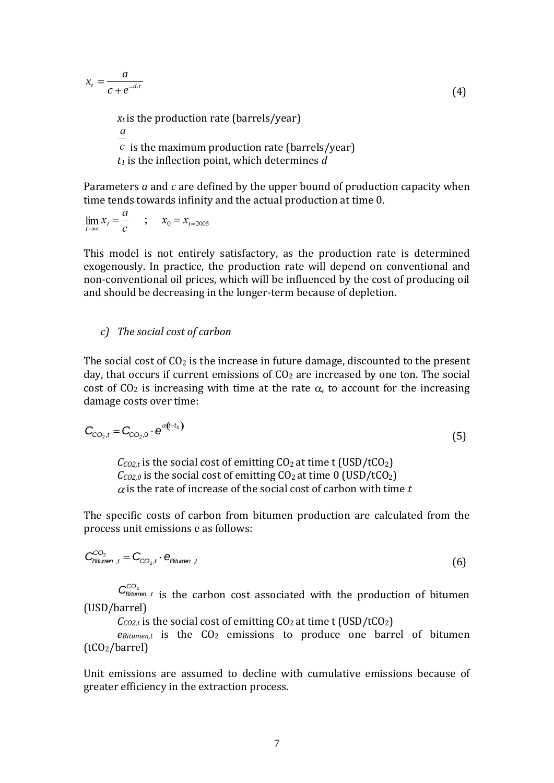$$
x_t = \frac{a}{c + e^{-d \cdot t}}
$$
  
\n
$$
x_t
$$
 is the production rate (barrels/year) (4)

 $\boldsymbol{a}$  $\epsilon$  is the maximum production rate (barrels/year) *t<sup>1</sup>* is the inflection point, which determines *d* 

Parameters *a* and *c* are defined by the upper bound of production capacity when time tends towards infinity and the actual production at time 0.

$$
\lim_{t \to \infty} x_t = \frac{a}{c} \qquad ; \qquad x_0 = x_{t=2005}
$$

This model is not entirely satisfactory, as the production rate is determined exogenously. In practice, the production rate will depend on conventional and non-conventional oil prices, which will be influenced by the cost of producing oil and should be decreasing in the longer-term because of depletion.

*c) The social cost of carbon*

The social cost of  $CO<sub>2</sub>$  is the increase in future damage, discounted to the present day, that occurs if current emissions of  $CO<sub>2</sub>$  are increased by one ton. The social cost of  $CO<sub>2</sub>$  is increasing with time at the rate  $\alpha$ , to account for the increasing damage costs over time:

$$
C_{CO_2,t} = C_{CO_2,0} \cdot e^{\alpha(t-t_0)}
$$
\n
$$
\tag{5}
$$

 $C_{CO2,t}$  is the social cost of emitting  $CO_2$  at time t (USD/tCO<sub>2</sub>)  $C_{CQ2,0}$  is the social cost of emitting  $CO<sub>2</sub>$  at time 0 (USD/tCO<sub>2</sub>)  $\alpha$  is the rate of increase of the social cost of carbon with time  $t$ 

The specific costs of carbon from bitumen production are calculated from the process unit emissions e as follows:

$$
C_{\text{Biumen},t}^{CO_2} = C_{CO_2,t} \cdot e_{\text{Biumen},t} \tag{6}
$$

 $C^{CO_2}_{Bitumen, t}$  is the carbon cost associated with the production of bitumen (USD/barrel)

 $C_{CO2,t}$  is the social cost of emitting  $CO_2$  at time t (USD/tCO<sub>2</sub>)

 $e_{Bitument}$  is the  $CO<sub>2</sub>$  emissions to produce one barrel of bitumen (tCO2/barrel)

Unit emissions are assumed to decline with cumulative emissions because of greater efficiency in the extraction process.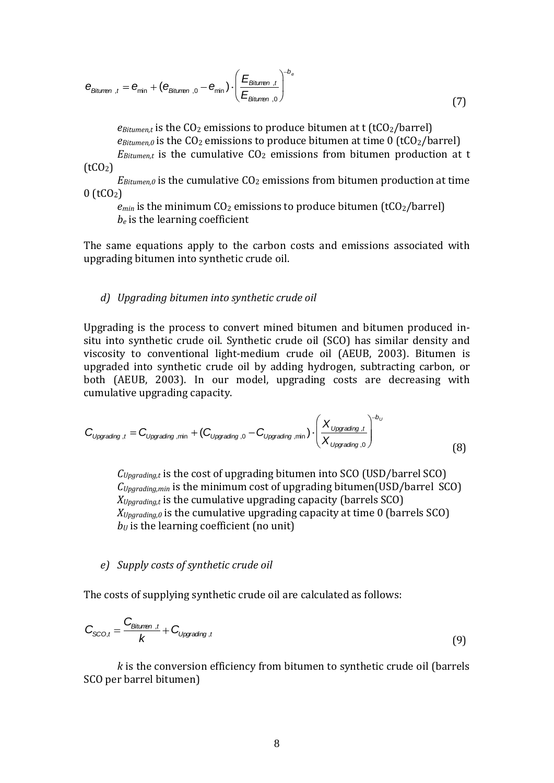$$
e_{\text{Bitumen}_{t}} = e_{\text{min}} + (e_{\text{Bitumen}_{t}} - e_{\text{min}}) \cdot \left(\frac{E_{\text{Bitumen}_{t}}}{E_{\text{Bitumen}_{t}}}\right)^{-b_{e}}
$$
\n(7)

 $e_{Bitumen,t}$  is the  $CO<sub>2</sub>$  emissions to produce bitumen at t (t $CO<sub>2</sub>/\text{barrel}$ )  $e_{Bitumen,0}$  is the  $CO<sub>2</sub>$  emissions to produce bitumen at time 0 (tCO<sub>2</sub>/barrel)  $E_{Bitument}$  is the cumulative  $CO<sub>2</sub>$  emissions from bitumen production at t  $(tCO<sub>2</sub>)$ 

 $E_{Bitumen,0}$  is the cumulative  $CO<sub>2</sub>$  emissions from bitumen production at time  $0$  (tCO<sub>2</sub>)

 $e_{min}$  is the minimum CO<sub>2</sub> emissions to produce bitumen (tCO<sub>2</sub>/barrel) *b<sup>e</sup>* is the learning coefficient

The same equations apply to the carbon costs and emissions associated with upgrading bitumen into synthetic crude oil.

#### *d) Upgrading bitumen into synthetic crude oil*

Upgrading is the process to convert mined bitumen and bitumen produced insitu into synthetic crude oil. Synthetic crude oil (SCO) has similar density and viscosity to conventional light-medium crude oil (AEUB, 2003). Bitumen is upgraded into synthetic crude oil by adding hydrogen, subtracting carbon, or both (AEUB, 2003). In our model, upgrading costs are decreasing with cumulative upgrading capacity.

$$
C_{\text{Upgrading},t} = C_{\text{Upgrading},\min} + (C_{\text{Upgrading},0} - C_{\text{Upgrading},\min}) \cdot \left(\frac{X_{\text{Upgrading},t}}{X_{\text{Upgrading},0}}\right)^{-b_{\text{U}}}
$$
(8)

*CUpgrading,t* is the cost of upgrading bitumen into SCO (USD/barrel SCO) *CUpgrading,min* is the minimum cost of upgrading bitumen(USD/barrel SCO) *XUpgrading,t* is the cumulative upgrading capacity (barrels SCO) *XUpgrading,0* is the cumulative upgrading capacity at time 0 (barrels SCO)  $b<sub>U</sub>$  is the learning coefficient (no unit)

#### *e) Supply costs of synthetic crude oil*

The costs of supplying synthetic crude oil are calculated as follows:

$$
C_{SCO,t} = \frac{C_{Bituren, t}}{k} + C_{Upgrading, t}
$$
\n(9)

*k* is the conversion efficiency from bitumen to synthetic crude oil (barrels SCO per barrel bitumen)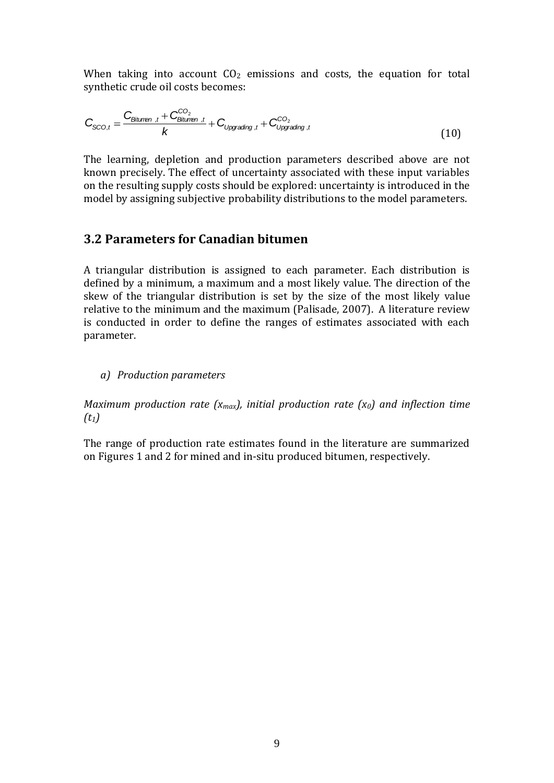When taking into account  $CO<sub>2</sub>$  emissions and costs, the equation for total synthetic crude oil costs becomes:

$$
C_{\text{SCO},t} = \frac{C_{\text{Bitumen},t} + C_{\text{Bitumen},t}^{CO_2}}{k} + C_{\text{Upgrading},t} + C_{\text{Upgrading},t}^{CO_2}
$$
(10)

The learning, depletion and production parameters described above are not known precisely. The effect of uncertainty associated with these input variables on the resulting supply costs should be explored: uncertainty is introduced in the model by assigning subjective probability distributions to the model parameters.

### **3.2 Parameters for Canadian bitumen**

A triangular distribution is assigned to each parameter. Each distribution is defined by a minimum, a maximum and a most likely value. The direction of the skew of the triangular distribution is set by the size of the most likely value relative to the minimum and the maximum (Palisade, 2007). A literature review is conducted in order to define the ranges of estimates associated with each parameter.

*a) Production parameters*

*Maximum production rate (xmax), initial production rate (x0) and inflection time (t1)*

The range of production rate estimates found in the literature are summarized on Figures 1 and 2 for mined and in-situ produced bitumen, respectively.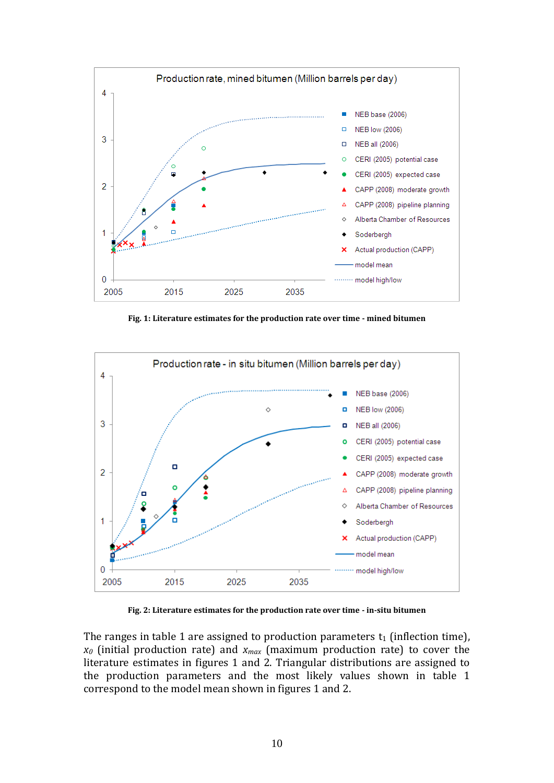

**Fig. 1: Literature estimates for the production rate over time - mined bitumen**



**Fig. 2: Literature estimates for the production rate over time - in-situ bitumen**

The ranges in table 1 are assigned to production parameters  $t_1$  (inflection time), *x<sup>0</sup>* (initial production rate) and *xmax* (maximum production rate) to cover the literature estimates in figures 1 and 2. Triangular distributions are assigned to the production parameters and the most likely values shown in table 1 correspond to the model mean shown in figures 1 and 2.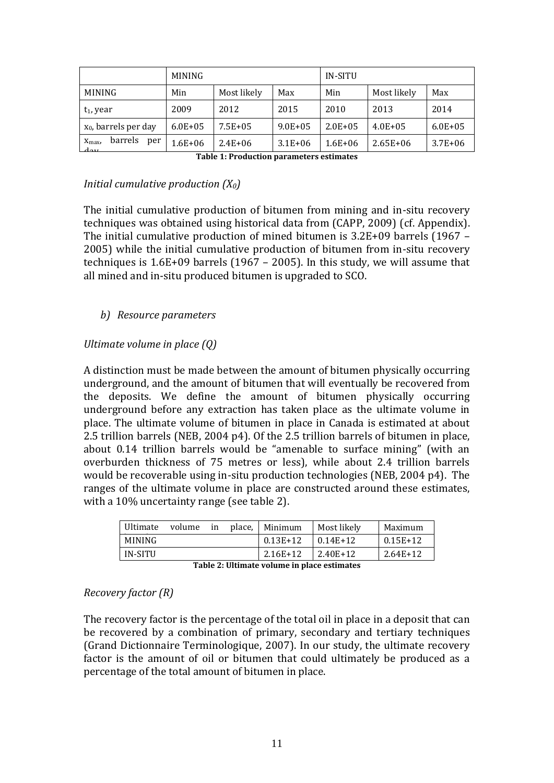|                                                      | <b>MINING</b> |             |             | IN-SITU      |              |              |
|------------------------------------------------------|---------------|-------------|-------------|--------------|--------------|--------------|
| <b>MINING</b>                                        | Min           | Most likely | Max         | Min          | Most likely  | Max          |
| $t_1$ , year                                         | 2009          | 2012        | 2015        | 2010         | 2013         | 2014         |
| $x_0$ , barrels per day                              | $6.0E + 0.5$  | $7.5E + 05$ | $9.0E + 05$ | $2.0E + 0.5$ | $4.0E + 0.5$ | $6.0E + 0.5$ |
| barrels<br>per<br>$X_{\text{max}}$<br>$\overline{d}$ | $1.6E + 06$   | $2.4E + 06$ | $3.1E + 06$ | $1.6E + 06$  | $2.65E + 06$ | $3.7E + 06$  |

**Table 1: Production parameters estimates**

#### *Initial cumulative production (X0)*

The initial cumulative production of bitumen from mining and in-situ recovery techniques was obtained using historical data from (CAPP, 2009) (cf. Appendix). The initial cumulative production of mined bitumen is 3.2E+09 barrels (1967 – 2005) while the initial cumulative production of bitumen from in-situ recovery techniques is 1.6E+09 barrels (1967 – 2005). In this study, we will assume that all mined and in-situ produced bitumen is upgraded to SCO.

### *b) Resource parameters*

### *Ultimate volume in place (Q)*

A distinction must be made between the amount of bitumen physically occurring underground, and the amount of bitumen that will eventually be recovered from the deposits. We define the amount of bitumen physically occurring underground before any extraction has taken place as the ultimate volume in place. The ultimate volume of bitumen in place in Canada is estimated at about 2.5 trillion barrels (NEB, 2004 p4). Of the 2.5 trillion barrels of bitumen in place, about 0.14 trillion barrels would be "amenable to surface mining" (with an overburden thickness of 75 metres or less), while about 2.4 trillion barrels would be recoverable using in-situ production technologies (NEB, 2004 p4). The ranges of the ultimate volume in place are constructed around these estimates, with a 10% uncertainty range (see table 2).

| Ultimate      | volume | <sub>1</sub> n | place. | Minimum    | Most likely | Maximum    |
|---------------|--------|----------------|--------|------------|-------------|------------|
| <b>MINING</b> |        |                |        | $0.13E+12$ | $0.14E+12$  | $0.15E+12$ |
| IN-SITU       |        |                |        | 2.16E+12   | 2.40E+12    | $2.64E+12$ |

| Table 2: Ultimate volume in place estimates |  |
|---------------------------------------------|--|
|---------------------------------------------|--|

#### *Recovery factor (R)*

The recovery factor is the percentage of the total oil in place in a deposit that can be recovered by a combination of primary, secondary and tertiary techniques (Grand Dictionnaire Terminologique, 2007). In our study, the ultimate recovery factor is the amount of oil or bitumen that could ultimately be produced as a percentage of the total amount of bitumen in place.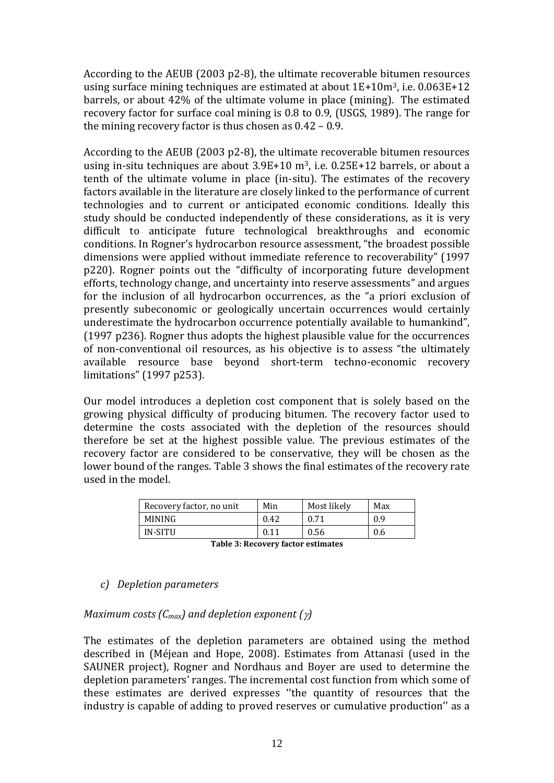According to the AEUB (2003 p2-8), the ultimate recoverable bitumen resources using surface mining techniques are estimated at about 1E+10m3, i.e. 0.063E+12 barrels, or about 42% of the ultimate volume in place (mining). The estimated recovery factor for surface coal mining is 0.8 to 0.9, (USGS, 1989). The range for the mining recovery factor is thus chosen as 0.42 – 0.9.

According to the AEUB (2003 p2-8), the ultimate recoverable bitumen resources using in-situ techniques are about  $3.9E+10$  m<sup>3</sup>, i.e.  $0.25E+12$  barrels, or about a tenth of the ultimate volume in place (in-situ). The estimates of the recovery factors available in the literature are closely linked to the performance of current technologies and to current or anticipated economic conditions. Ideally this study should be conducted independently of these considerations, as it is very difficult to anticipate future technological breakthroughs and economic conditions. In Rogner's hydrocarbon resource assessment, "the broadest possible dimensions were applied without immediate reference to recoverability" (1997 p220). Rogner points out the "difficulty of incorporating future development efforts, technology change, and uncertainty into reserve assessments" and argues for the inclusion of all hydrocarbon occurrences, as the "a priori exclusion of presently subeconomic or geologically uncertain occurrences would certainly underestimate the hydrocarbon occurrence potentially available to humankind", (1997 p236). Rogner thus adopts the highest plausible value for the occurrences of non-conventional oil resources, as his objective is to assess "the ultimately available resource base beyond short-term techno-economic recovery limitations" (1997 p253).

Our model introduces a depletion cost component that is solely based on the growing physical difficulty of producing bitumen. The recovery factor used to determine the costs associated with the depletion of the resources should therefore be set at the highest possible value. The previous estimates of the recovery factor are considered to be conservative, they will be chosen as the lower bound of the ranges. Table 3 shows the final estimates of the recovery rate used in the model.

| MINING<br>0.9<br>0.42<br>0.71 | Recovery factor, no unit | Min           | Most likely | Max |
|-------------------------------|--------------------------|---------------|-------------|-----|
|                               |                          |               |             |     |
|                               | IN-SITU                  | $0.1^{\circ}$ | 0.56        | 0.6 |

| Table 3: Recovery factor estimates |  |  |
|------------------------------------|--|--|
|------------------------------------|--|--|

#### *c) Depletion parameters*

*Maximum costs (Cmax) and depletion exponent ( )*

The estimates of the depletion parameters are obtained using the method described in (Méjean and Hope, 2008). Estimates from Attanasi (used in the SAUNER project), Rogner and Nordhaus and Boyer are used to determine the depletion parameters' ranges. The incremental cost function from which some of these estimates are derived expresses ''the quantity of resources that the industry is capable of adding to proved reserves or cumulative production'' as a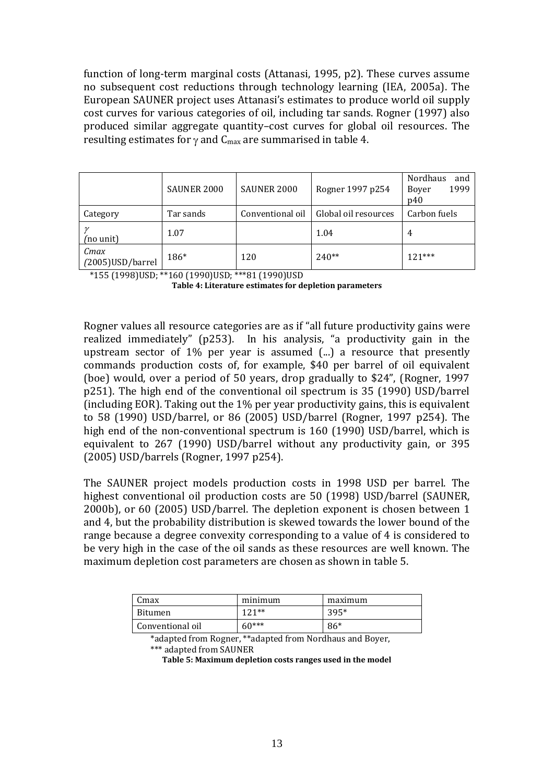function of long-term marginal costs (Attanasi, 1995, p2). These curves assume no subsequent cost reductions through technology learning (IEA, 2005a). The European SAUNER project uses Attanasi's estimates to produce world oil supply cost curves for various categories of oil, including tar sands. Rogner (1997) also produced similar aggregate quantity–cost curves for global oil resources. The resulting estimates for  $\gamma$  and  $C_{\text{max}}$  are summarised in table 4.

|                           | SAUNER 2000 | SAUNER 2000      | Rogner 1997 p254     | <b>Nordhaus</b><br>and<br>1999<br>Boyer<br>p40 |
|---------------------------|-------------|------------------|----------------------|------------------------------------------------|
| Category                  | Tar sands   | Conventional oil | Global oil resources | Carbon fuels                                   |
| (no unit)                 | 1.07        |                  | 1.04                 | 4                                              |
| Cmax<br>(2005) USD/barrel | 186*        | 120              | $240**$              | $121***$                                       |

\*155 (1998)USD; \*\*160 (1990)USD; \*\*\*81 (1990)USD

Rogner values all resource categories are as if "all future productivity gains were realized immediately" (p253). In his analysis, "a productivity gain in the upstream sector of 1% per year is assumed (...) a resource that presently commands production costs of, for example, \$40 per barrel of oil equivalent (boe) would, over a period of 50 years, drop gradually to \$24", (Rogner, 1997 p251). The high end of the conventional oil spectrum is 35 (1990) USD/barrel (including EOR). Taking out the 1% per year productivity gains, this is equivalent to 58 (1990) USD/barrel, or 86 (2005) USD/barrel (Rogner, 1997 p254). The high end of the non-conventional spectrum is 160 (1990) USD/barrel, which is equivalent to 267 (1990) USD/barrel without any productivity gain, or 395 (2005) USD/barrels (Rogner, 1997 p254).

The SAUNER project models production costs in 1998 USD per barrel. The highest conventional oil production costs are 50 (1998) USD/barrel (SAUNER, 2000b), or 60 (2005) USD/barrel. The depletion exponent is chosen between 1 and 4, but the probability distribution is skewed towards the lower bound of the range because a degree convexity corresponding to a value of 4 is considered to be very high in the case of the oil sands as these resources are well known. The maximum depletion cost parameters are chosen as shown in table 5.

| lmax             | minimum   | maximum |
|------------------|-----------|---------|
| <b>Bitumen</b>   | 1 2 1 * * | $395*$  |
| Conventional oil | $60***$   | 86*     |

\*adapted from Rogner, \*\*adapted from Nordhaus and Boyer, \*\*\* adapted from SAUNER

**Table 5: Maximum depletion costs ranges used in the model**

**Table 4: Literature estimates for depletion parameters**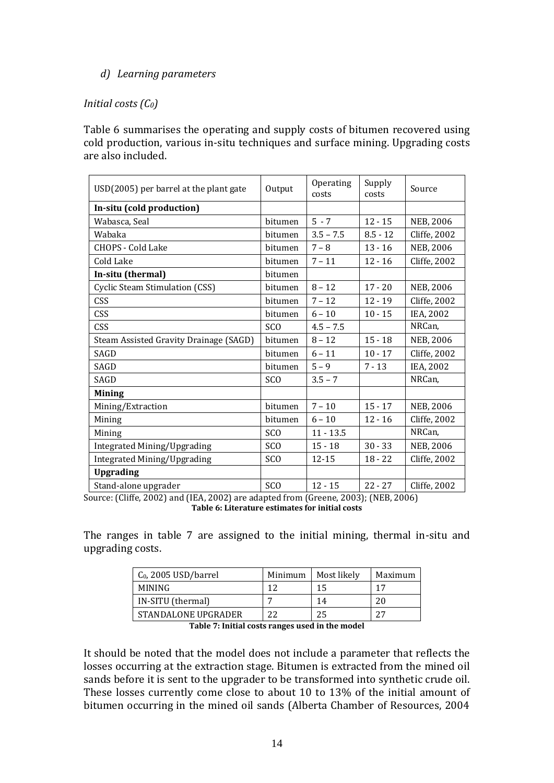#### *d) Learning parameters*

#### *Initial costs (C0)*

Table 6 summarises the operating and supply costs of bitumen recovered using cold production, various in-situ techniques and surface mining. Upgrading costs are also included.

| USD(2005) per barrel at the plant gate | Output          | Operating<br>costs | Supply<br>costs | Source           |
|----------------------------------------|-----------------|--------------------|-----------------|------------------|
| In-situ (cold production)              |                 |                    |                 |                  |
| Wabasca, Seal                          | bitumen         | $5 - 7$            | $12 - 15$       | <b>NEB, 2006</b> |
| Wabaka                                 | bitumen         | $3.5 - 7.5$        | $8.5 - 12$      | Cliffe, 2002     |
| <b>CHOPS - Cold Lake</b>               | bitumen         | $7 - 8$            | $13 - 16$       | NEB, 2006        |
| Cold Lake                              | bitumen         | $7 - 11$           | $12 - 16$       | Cliffe, 2002     |
| In-situ (thermal)                      | bitumen         |                    |                 |                  |
| Cyclic Steam Stimulation (CSS)         | bitumen         | $8 - 12$           | $17 - 20$       | <b>NEB, 2006</b> |
| CSS                                    | bitumen         | $7 - 12$           | $12 - 19$       | Cliffe, 2002     |
| <b>CSS</b>                             | bitumen         | $6 - 10$           | $10 - 15$       | IEA, 2002        |
| <b>CSS</b>                             | <b>SCO</b>      | $4.5 - 7.5$        |                 | NRCan,           |
| Steam Assisted Gravity Drainage (SAGD) | bitumen         | $8 - 12$           | $15 - 18$       | <b>NEB, 2006</b> |
| SAGD                                   | bitumen         | $6 - 11$           | $10 - 17$       | Cliffe, 2002     |
| SAGD                                   | bitumen         | $5 - 9$            | $7 - 13$        | IEA, 2002        |
| SAGD                                   | SC <sub>O</sub> | $3.5 - 7$          |                 | NRCan,           |
| <b>Mining</b>                          |                 |                    |                 |                  |
| Mining/Extraction                      | bitumen         | $7 - 10$           | $15 - 17$       | NEB, 2006        |
| Mining                                 | bitumen         | $6 - 10$           | $12 - 16$       | Cliffe, 2002     |
| Mining                                 | <b>SCO</b>      | $11 - 13.5$        |                 | NRCan,           |
| Integrated Mining/Upgrading            | <b>SCO</b>      | $15 - 18$          | $30 - 33$       | NEB, 2006        |
| Integrated Mining/Upgrading            | <b>SCO</b>      | 12-15              | $18 - 22$       | Cliffe, 2002     |
| <b>Upgrading</b>                       |                 |                    |                 |                  |
| Stand-alone upgrader                   | SC <sub>O</sub> | $12 - 15$          | $22 - 27$       | Cliffe, 2002     |

Source: (Cliffe, 2002) and (IEA, 2002) are adapted from (Greene, 2003); (NEB, 2006) **Table 6: Literature estimates for initial costs**

The ranges in table 7 are assigned to the initial mining, thermal in-situ and upgrading costs.

| Minimum | Most likely | Maximum |
|---------|-------------|---------|
|         | 15          | 17      |
|         | 14          | 20      |
| つつ      | 25          | ת ר     |
|         |             |         |

**Table 7: Initial costs ranges used in the model**

It should be noted that the model does not include a parameter that reflects the losses occurring at the extraction stage. Bitumen is extracted from the mined oil sands before it is sent to the upgrader to be transformed into synthetic crude oil. These losses currently come close to about 10 to 13% of the initial amount of bitumen occurring in the mined oil sands (Alberta Chamber of Resources, 2004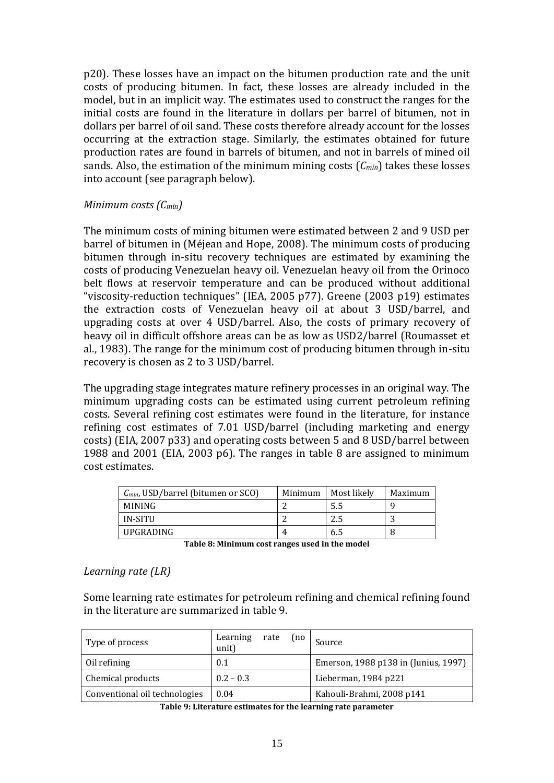p20). These losses have an impact on the bitumen production rate and the unit costs of producing bitumen. In fact, these losses are already included in the model, but in an implicit way. The estimates used to construct the ranges for the initial costs are found in the literature in dollars per barrel of bitumen, not in dollars per barrel of oil sand. These costs therefore already account for the losses occurring at the extraction stage. Similarly, the estimates obtained for future production rates are found in barrels of bitumen, and not in barrels of mined oil sands. Also, the estimation of the minimum mining costs (*Cmin*) takes these losses into account (see paragraph below).

#### *Minimum costs (Cmin)*

The minimum costs of mining bitumen were estimated between 2 and 9 USD per barrel of bitumen in (Méjean and Hope, 2008). The minimum costs of producing bitumen through in-situ recovery techniques are estimated by examining the costs of producing Venezuelan heavy oil. Venezuelan heavy oil from the Orinoco belt flows at reservoir temperature and can be produced without additional "viscosity-reduction techniques" (IEA, 2005 p77). Greene (2003 p19) estimates the extraction costs of Venezuelan heavy oil at about 3 USD/barrel, and upgrading costs at over 4 USD/barrel. Also, the costs of primary recovery of heavy oil in difficult offshore areas can be as low as USD2/barrel (Roumasset et al., 1983). The range for the minimum cost of producing bitumen through in-situ recovery is chosen as 2 to 3 USD/barrel.

The upgrading stage integrates mature refinery processes in an original way. The minimum upgrading costs can be estimated using current petroleum refining costs. Several refining cost estimates were found in the literature, for instance refining cost estimates of 7.01 USD/barrel (including marketing and energy costs) (EIA, 2007 p33) and operating costs between 5 and 8 USD/barrel between 1988 and 2001 (EIA, 2003 p6). The ranges in table 8 are assigned to minimum cost estimates.

| $C_{min}$ , USD/barrel (bitumen or SCO) | Minimum | Most likely | Maximum |
|-----------------------------------------|---------|-------------|---------|
| <b>MINING</b>                           |         | 5.5         |         |
| IN-SITU                                 |         |             |         |
| UPGRADING                               |         | 6.5         |         |

**Table 8: Minimum cost ranges used in the model**

#### *Learning rate (LR)*

Some learning rate estimates for petroleum refining and chemical refining found in the literature are summarized in table 9.

| Type of process               | Learning<br>unit) | rate | (no <sub>l</sub> ) | Source                                                       |
|-------------------------------|-------------------|------|--------------------|--------------------------------------------------------------|
| Oil refining                  | 0.1               |      |                    | Emerson, 1988 p138 in (Junius, 1997)                         |
| Chemical products             | $0.2 - 0.3$       |      |                    | Lieberman, 1984 p221                                         |
| Conventional oil technologies | 0.04              |      |                    | Kahouli-Brahmi, 2008 p141                                    |
|                               |                   |      |                    | Takla 0. Litovatuva satimatas fautka laavujug vata navamatav |

**Table 9: Literature estimates for the learning rate parameter**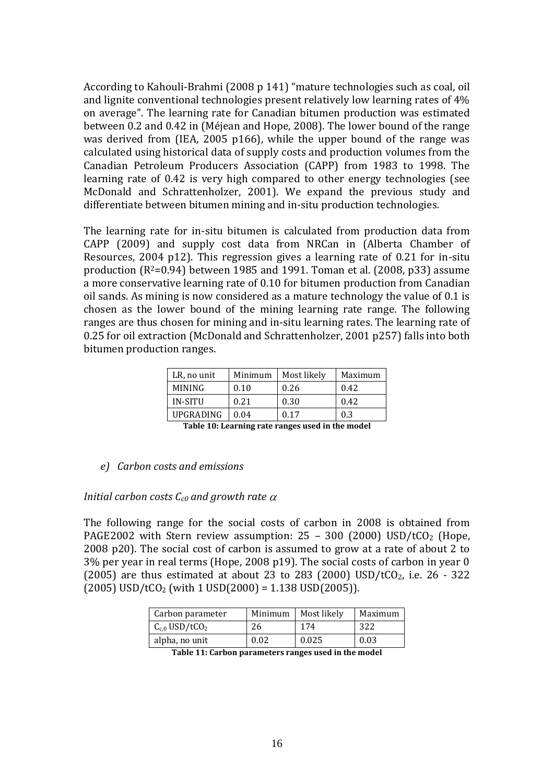According to Kahouli-Brahmi (2008 p 141) "mature technologies such as coal, oil and lignite conventional technologies present relatively low learning rates of 4% on average". The learning rate for Canadian bitumen production was estimated between 0.2 and 0.42 in (Méjean and Hope, 2008). The lower bound of the range was derived from (IEA, 2005 p166), while the upper bound of the range was calculated using historical data of supply costs and production volumes from the Canadian Petroleum Producers Association (CAPP) from 1983 to 1998. The learning rate of 0.42 is very high compared to other energy technologies (see McDonald and Schrattenholzer, 2001). We expand the previous study and differentiate between bitumen mining and in-situ production technologies.

The learning rate for in-situ bitumen is calculated from production data from CAPP (2009) and supply cost data from NRCan in (Alberta Chamber of Resources, 2004 p12). This regression gives a learning rate of 0.21 for in-situ production  $(R^2=0.94)$  between 1985 and 1991. Toman et al. (2008, p33) assume a more conservative learning rate of 0.10 for bitumen production from Canadian oil sands. As mining is now considered as a mature technology the value of 0.1 is chosen as the lower bound of the mining learning rate range. The following ranges are thus chosen for mining and in-situ learning rates. The learning rate of 0.25 for oil extraction (McDonald and Schrattenholzer, 2001 p257) falls into both bitumen production ranges.

| LR, no unit    | Minimum | Most likely | Maximum |
|----------------|---------|-------------|---------|
|                |         |             |         |
| <b>MINING</b>  | 0.10    | 0.26        | 0.42    |
| <b>IN-SITU</b> | 0.21    | 0.30        | 0.42    |
| UPGRADING      | 0.04    | 0.17        | 0.3     |
|                |         | __          |         |

**Table 10: Learning rate ranges used in the model**

#### *e) Carbon costs and emissions*

#### *Initial carbon costs*  $C_{c0}$  *and growth rate*  $\alpha$

The following range for the social costs of carbon in 2008 is obtained from PAGE2002 with Stern review assumption:  $25 - 300$  (2000) USD/tCO<sub>2</sub> (Hope, 2008 p20). The social cost of carbon is assumed to grow at a rate of about 2 to 3% per year in real terms (Hope, 2008 p19). The social costs of carbon in year 0 (2005) are thus estimated at about 23 to 283 (2000) USD/tCO<sub>2</sub>, i.e. 26 - 322  $(2005)$  USD/tCO<sub>2</sub> (with 1 USD(2000) = 1.138 USD(2005)).

| Carbon parameter               | Minimum | <b>Most likely</b> | Maximum |
|--------------------------------|---------|--------------------|---------|
| $C_{c,0}$ USD/tCO <sub>2</sub> | 26      | 174                | 322     |
| alpha, no unit                 | 0.02    | 0.025              | 0.03    |
| m 11 <i>44 0</i> 1             |         |                    |         |

**Table 11: Carbon parameters ranges used in the model**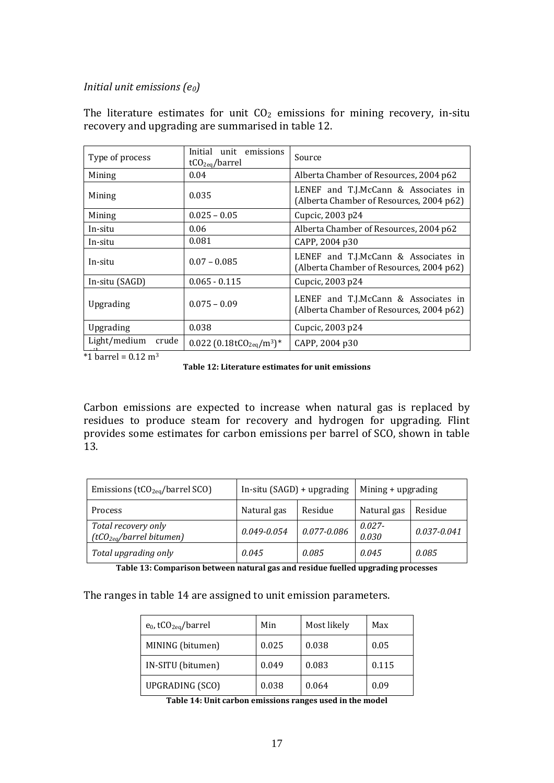#### *Initial unit emissions (e0)*

The literature estimates for unit  $CO<sub>2</sub>$  emissions for mining recovery, in-situ recovery and upgrading are summarised in table 12.

| Type of process       | Initial<br>unit emissions<br>tCO <sub>2eq</sub> /barrel        | Source                                                                           |
|-----------------------|----------------------------------------------------------------|----------------------------------------------------------------------------------|
| Mining                | 0.04                                                           | Alberta Chamber of Resources, 2004 p62                                           |
| Mining                | 0.035                                                          | LENEF and T.J.McCann & Associates in<br>(Alberta Chamber of Resources, 2004 p62) |
| Mining                | $0.025 - 0.05$                                                 | Cupcic, 2003 p24                                                                 |
| In-situ               | 0.06                                                           | Alberta Chamber of Resources, 2004 p62                                           |
| In-situ               | 0.081                                                          | CAPP, 2004 p30                                                                   |
| In-situ               | $0.07 - 0.085$                                                 | LENEF and T.J.McCann & Associates in<br>(Alberta Chamber of Resources, 2004 p62) |
| In-situ (SAGD)        | $0.065 - 0.115$                                                | Cupcic, 2003 p24                                                                 |
| Upgrading             | $0.075 - 0.09$                                                 | LENEF and T.J.McCann & Associates in<br>(Alberta Chamber of Resources, 2004 p62) |
| Upgrading             | 0.038                                                          | Cupcic, 2003 p24                                                                 |
| Light/medium<br>crude | $0.022$ (0.18tCO <sub>2eq</sub> /m <sup>3</sup> ) <sup>*</sup> | CAPP, 2004 p30                                                                   |

 $*1$  barrel = 0.12 m<sup>3</sup>

**Table 12: Literature estimates for unit emissions**

Carbon emissions are expected to increase when natural gas is replaced by residues to produce steam for recovery and hydrogen for upgrading. Flint provides some estimates for carbon emissions per barrel of SCO, shown in table 13.

| Emissions ( $tCO2eq/\text{barrel}$ SCO)                     | In-situ $(SAGD)$ + upgrading |                 | Mining $+$ upgrading |                 |  |
|-------------------------------------------------------------|------------------------------|-----------------|----------------------|-----------------|--|
| <b>Process</b>                                              | Natural gas<br>Residue       |                 | Natural gas          | Residue         |  |
| Total recovery only<br>(tCO <sub>2ea</sub> /barrel bitumen) | $0.049 - 0.054$              | $0.077 - 0.086$ | $0.027 -$<br>0.030   | $0.037 - 0.041$ |  |
| Total upgrading only                                        | 0.045                        | 0.085           | 0.045                | 0.085           |  |

**Table 13: Comparison between natural gas and residue fuelled upgrading processes**

The ranges in table 14 are assigned to unit emission parameters.

| $e_0$ , tCO <sub>2eq</sub> /barrel | Min   | Most likely | Max   |
|------------------------------------|-------|-------------|-------|
| MINING (bitumen)                   | 0.025 | 0.038       | 0.05  |
| IN-SITU (bitumen)                  | 0.049 | 0.083       | 0.115 |
| UPGRADING (SCO)                    | 0.038 | 0.064       | 0.09  |

**Table 14: Unit carbon emissions ranges used in the model**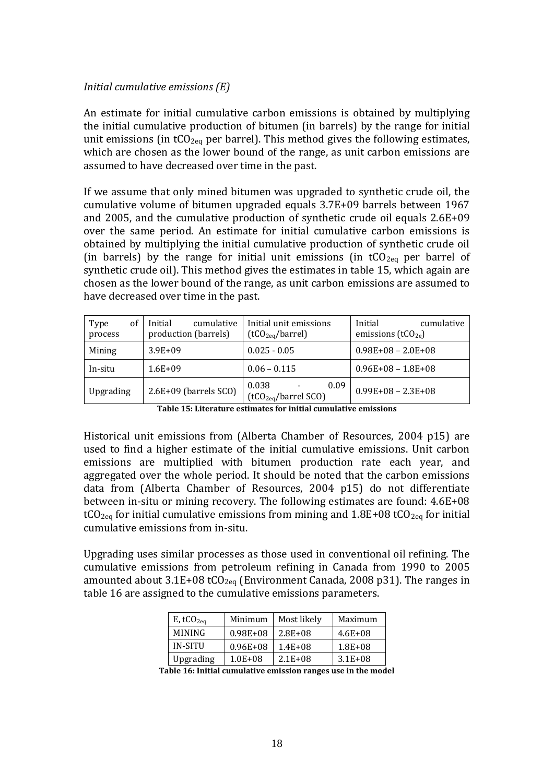#### *Initial cumulative emissions (E)*

An estimate for initial cumulative carbon emissions is obtained by multiplying the initial cumulative production of bitumen (in barrels) by the range for initial unit emissions (in  $tCO_{2eq}$  per barrel). This method gives the following estimates, which are chosen as the lower bound of the range, as unit carbon emissions are assumed to have decreased over time in the past.

If we assume that only mined bitumen was upgraded to synthetic crude oil, the cumulative volume of bitumen upgraded equals 3.7E+09 barrels between 1967 and 2005, and the cumulative production of synthetic crude oil equals 2.6E+09 over the same period. An estimate for initial cumulative carbon emissions is obtained by multiplying the initial cumulative production of synthetic crude oil (in barrels) by the range for initial unit emissions (in  $tCO_{2eq}$  per barrel of synthetic crude oil). This method gives the estimates in table 15, which again are chosen as the lower bound of the range, as unit carbon emissions are assumed to have decreased over time in the past.

| of<br>Type<br>process | Initial<br>cumulative<br>production (barrels) | Initial unit emissions<br>(tCO <sub>2eq</sub> /barrel) | cumulative<br>Initial<br>emissions ( $tCO2e$ ) |
|-----------------------|-----------------------------------------------|--------------------------------------------------------|------------------------------------------------|
| Mining                | $3.9E + 09$                                   | $0.025 - 0.05$                                         | $0.98E+08 - 2.0E+08$                           |
| In-situ               | $1.6E + 09$                                   | $0.06 - 0.115$                                         | $0.96E+08 - 1.8E+08$                           |
| Upgrading             | 2.6E+09 (barrels SCO)                         | 0.038<br>0.09<br>(tCO <sub>2eq</sub> /barrel SCO)      | $0.99E+08 - 2.3E+08$                           |

Historical unit emissions from (Alberta Chamber of Resources, 2004 p15) are used to find a higher estimate of the initial cumulative emissions. Unit carbon emissions are multiplied with bitumen production rate each year, and aggregated over the whole period. It should be noted that the carbon emissions data from (Alberta Chamber of Resources, 2004 p15) do not differentiate between in-situ or mining recovery. The following estimates are found: 4.6E+08 tCO<sub>2eq</sub> for initial cumulative emissions from mining and  $1.8E+08$  tCO<sub>2eq</sub> for initial cumulative emissions from in-situ.

Upgrading uses similar processes as those used in conventional oil refining. The cumulative emissions from petroleum refining in Canada from 1990 to 2005 amounted about  $3.1E+08$  tCO<sub>2eq</sub> (Environment Canada, 2008 p31). The ranges in table 16 are assigned to the cumulative emissions parameters.

| E, tCO <sub>2eq</sub> | Minimum      | Most likely  | Maximum      |
|-----------------------|--------------|--------------|--------------|
| <b>MINING</b>         | $0.98E + 08$ | $2.8E + 0.8$ | $4.6E + 08$  |
| IN-SITU               | $0.96E + 08$ | $1.4E + 08$  | $1.8E + 0.8$ |
| Upgrading             | $1.0E + 08$  | $2.1E + 0.8$ | $3.1E + 0.8$ |

**Table 16: Initial cumulative emission ranges use in the model**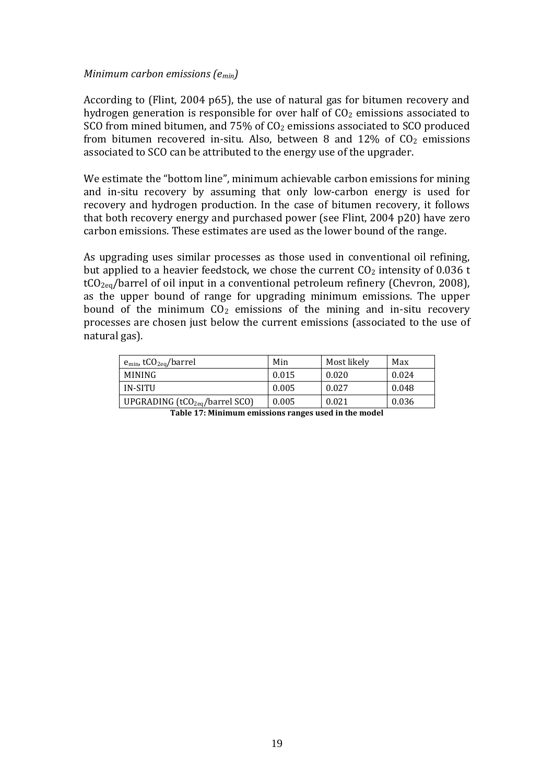#### *Minimum carbon emissions (emin)*

According to (Flint, 2004 p65), the use of natural gas for bitumen recovery and hydrogen generation is responsible for over half of  $CO<sub>2</sub>$  emissions associated to SCO from mined bitumen, and 75% of CO<sub>2</sub> emissions associated to SCO produced from bitumen recovered in-situ. Also, between 8 and  $12\%$  of  $CO<sub>2</sub>$  emissions associated to SCO can be attributed to the energy use of the upgrader.

We estimate the "bottom line", minimum achievable carbon emissions for mining and in-situ recovery by assuming that only low-carbon energy is used for recovery and hydrogen production. In the case of bitumen recovery, it follows that both recovery energy and purchased power (see Flint, 2004 p20) have zero carbon emissions. These estimates are used as the lower bound of the range.

As upgrading uses similar processes as those used in conventional oil refining, but applied to a heavier feedstock, we chose the current  $CO<sub>2</sub>$  intensity of 0.036 t  $tCO_{2eq}/$ barrel of oil input in a conventional petroleum refinery (Chevron, 2008), as the upper bound of range for upgrading minimum emissions. The upper bound of the minimum  $CO<sub>2</sub>$  emissions of the mining and in-situ recovery processes are chosen just below the current emissions (associated to the use of natural gas).

| Min   | Most likely | Max   |
|-------|-------------|-------|
| 0.015 | 0.020       | 0.024 |
| 0.005 | 0.027       | 0.048 |
| 0.005 | 0.021       | 0.036 |
|       |             |       |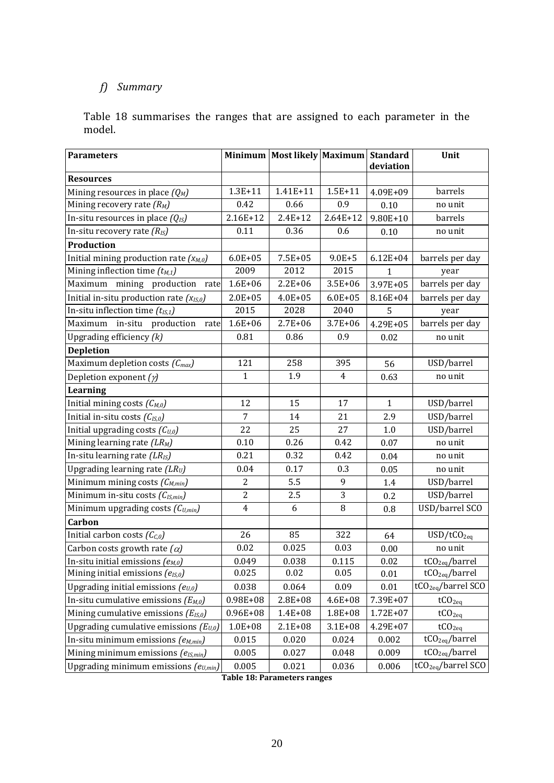# *f) Summary*

Table 18 summarises the ranges that are assigned to each parameter in the model.

| <b>Parameters</b>                                                 |                     | Minimum Most likely Maximum Standard |                    |              | Unit                           |
|-------------------------------------------------------------------|---------------------|--------------------------------------|--------------------|--------------|--------------------------------|
|                                                                   |                     |                                      |                    | deviation    |                                |
| <b>Resources</b>                                                  | $1.3E + 11$         | 1.41E+11                             | $1.5E + 11$        | 4.09E+09     | barrels                        |
| Mining resources in place $(Q_M)$<br>Mining recovery rate $(R_M)$ | 0.42                | 0.66                                 | 0.9                | 0.10         | no unit                        |
| In-situ resources in place $(Q_{IS})$                             | 2.16E+12            | $2.4E + 12$                          | $2.64E+12$         | $9.80E + 10$ | barrels                        |
| In-situ recovery rate $(R_{IS})$                                  | 0.11                | 0.36                                 | 0.6                |              |                                |
|                                                                   |                     |                                      |                    | 0.10         | no unit                        |
| Production                                                        |                     |                                      |                    |              |                                |
| Initial mining production rate $(x_{M,0})$                        | $6.0E + 05$<br>2009 | $7.5E + 05$<br>2012                  | $9.0E + 5$<br>2015 | $6.12E + 04$ | barrels per day                |
| Mining inflection time $(t_{M,1})$                                |                     |                                      |                    | 1            | year                           |
| Maximum mining production<br>rate                                 | $1.6E + 06$         | $2.2E + 06$                          | $3.5E + 06$        | 3.97E+05     | barrels per day                |
| Initial in-situ production rate $(x_{15,0})$                      | $2.0E + 05$         | $4.0E + 05$                          | $6.0E + 05$        | 8.16E+04     | barrels per day                |
| In-situ inflection time $(t_{IS,1})$                              | 2015                | 2028                                 | 2040               | 5            | year                           |
| in-situ<br>production<br>Maximum<br>rate                          | $1.6E + 06$         | $2.7E + 06$                          | $3.7E + 06$        | 4.29E+05     | barrels per day                |
| Upgrading efficiency $(k)$                                        | 0.81                | 0.86                                 | 0.9                | 0.02         | no unit                        |
| <b>Depletion</b>                                                  |                     |                                      |                    |              |                                |
| Maximum depletion costs $(C_{max})$                               | 121                 | 258                                  | 395                | 56           | USD/barrel                     |
| Depletion exponent $(y)$                                          | $\mathbf{1}$        | 1.9                                  | $\overline{4}$     | 0.63         | no unit                        |
| <b>Learning</b>                                                   |                     |                                      |                    |              |                                |
| Initial mining costs $(C_{M,0})$                                  | 12                  | 15                                   | 17                 | $\mathbf{1}$ | USD/barrel                     |
| Initial in-situ costs $(C_{IS,0})$                                | 7                   | 14                                   | 21                 | 2.9          | USD/barrel                     |
| Initial upgrading costs $(C_{U,0})$                               | 22                  | 25                                   | 27                 | 1.0          | USD/barrel                     |
| Mining learning rate (LR <sub>M</sub> )                           | 0.10                | 0.26                                 | 0.42               | 0.07         | no unit                        |
| In-situ learning rate $(LR_{IS})$                                 | 0.21                | 0.32                                 | 0.42               | 0.04         | no unit                        |
| Upgrading learning rate $(LR_U)$                                  | 0.04                | 0.17                                 | 0.3                | 0.05         | no unit                        |
| Minimum mining costs $(C_{M,min})$                                | $\overline{2}$      | 5.5                                  | 9                  | 1.4          | USD/barrel                     |
| Minimum in-situ costs (C <sub>IS,min</sub> )                      | $\overline{c}$      | 2.5                                  | 3                  | 0.2          | USD/barrel                     |
| Minimum upgrading costs $(C_{U,min})$                             | $\overline{4}$      | 6                                    | 8                  | 0.8          | USD/barrel SCO                 |
| Carbon                                                            |                     |                                      |                    |              |                                |
| Initial carbon costs $(C_{C,0})$                                  | 26                  | 85                                   | 322                | 64           | USD/tCO <sub>2eq</sub>         |
| Carbon costs growth rate $(\alpha)$                               | 0.02                | 0.025                                | 0.03               | 0.00         | no unit                        |
| In-situ initial emissions $(e_{M,0})$                             | 0.049               | 0.038                                | 0.115              | 0.02         | tCO <sub>2eq</sub> /barrel     |
| Mining initial emissions $(e_{15,0})$                             | 0.025               | 0.02                                 | 0.05               | 0.01         | tCO <sub>2eg</sub> /barrel     |
| Upgrading initial emissions $(e_{U,0})$                           | 0.038               | 0.064                                | 0.09               | 0.01         | tCO <sub>2eq</sub> /barrel SCO |
| In-situ cumulative emissions $(E_{M,0})$                          | $0.98E + 08$        | 2.8E+08                              | $4.6E + 08$        | 7.39E+07     | tCO <sub>2eq</sub>             |
| Mining cumulative emissions $(E_{IS,0})$                          | $0.96E + 08$        | 1.4E+08                              | 1.8E+08            | 1.72E+07     | tCO <sub>2eq</sub>             |
| Upgrading cumulative emissions $(E_{U,0})$                        | $1.0E + 08$         | $2.1E + 08$                          | $3.1E + 08$        | 4.29E+07     | tCO <sub>2eq</sub>             |
| In-situ minimum emissions $(e_{M,min})$                           | 0.015               | 0.020                                | 0.024              | 0.002        | tCO <sub>2eq</sub> /barrel     |
| Mining minimum emissions $(e_{IS,min})$                           | 0.005               | 0.027                                | 0.048              | 0.009        | tCO <sub>2eq</sub> /barrel     |
| Upgrading minimum emissions $(e_{U,min})$                         | 0.005               | 0.021                                | 0.036              | 0.006        | tCO <sub>2eq</sub> /barrel SCO |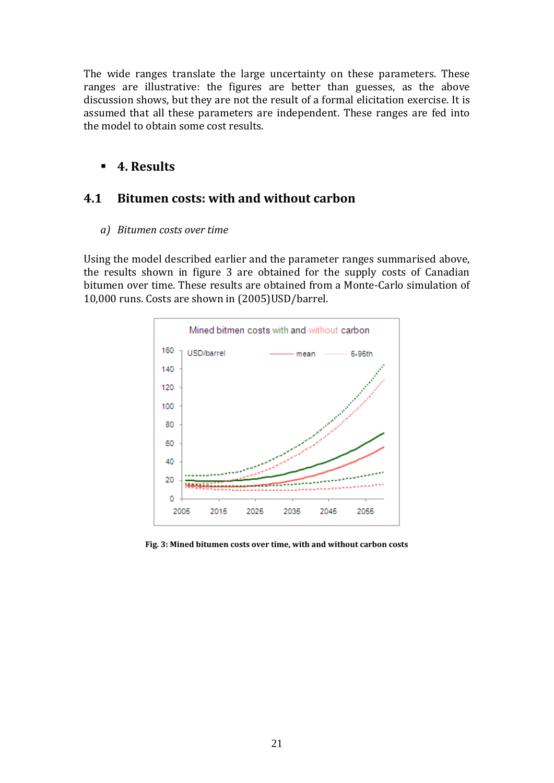The wide ranges translate the large uncertainty on these parameters. These ranges are illustrative: the figures are better than guesses, as the above discussion shows, but they are not the result of a formal elicitation exercise. It is assumed that all these parameters are independent. These ranges are fed into the model to obtain some cost results.

# **4. Results**

# **4.1 Bitumen costs: with and without carbon**

*a) Bitumen costs over time*

Using the model described earlier and the parameter ranges summarised above, the results shown in figure 3 are obtained for the supply costs of Canadian bitumen over time. These results are obtained from a Monte-Carlo simulation of 10,000 runs. Costs are shown in (2005)USD/barrel.



**Fig. 3: Mined bitumen costs over time, with and without carbon costs**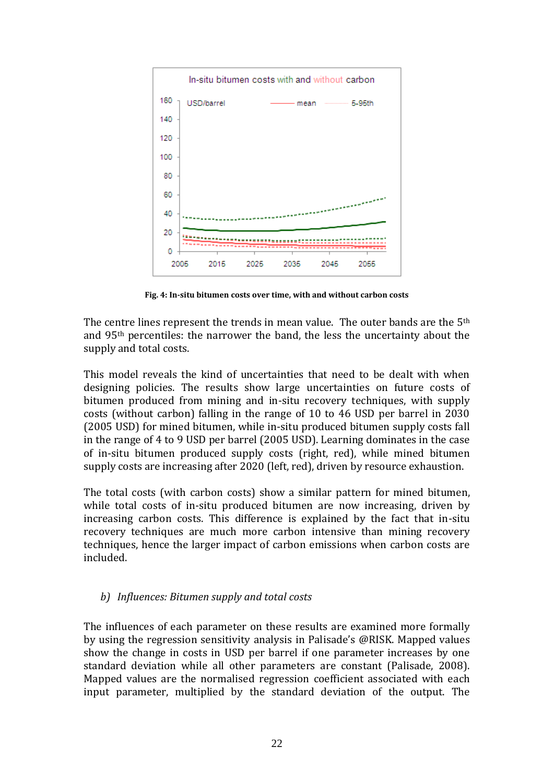

**Fig. 4: In-situ bitumen costs over time, with and without carbon costs**

The centre lines represent the trends in mean value. The outer bands are the  $5<sup>th</sup>$ and 95th percentiles: the narrower the band, the less the uncertainty about the supply and total costs.

This model reveals the kind of uncertainties that need to be dealt with when designing policies. The results show large uncertainties on future costs of bitumen produced from mining and in-situ recovery techniques, with supply costs (without carbon) falling in the range of 10 to 46 USD per barrel in 2030 (2005 USD) for mined bitumen, while in-situ produced bitumen supply costs fall in the range of 4 to 9 USD per barrel (2005 USD). Learning dominates in the case of in-situ bitumen produced supply costs (right, red), while mined bitumen supply costs are increasing after 2020 (left, red), driven by resource exhaustion.

The total costs (with carbon costs) show a similar pattern for mined bitumen, while total costs of in-situ produced bitumen are now increasing, driven by increasing carbon costs. This difference is explained by the fact that in-situ recovery techniques are much more carbon intensive than mining recovery techniques, hence the larger impact of carbon emissions when carbon costs are included.

#### *b) Influences: Bitumen supply and total costs*

The influences of each parameter on these results are examined more formally by using the regression sensitivity analysis in Palisade's @RISK. Mapped values show the change in costs in USD per barrel if one parameter increases by one standard deviation while all other parameters are constant (Palisade, 2008). Mapped values are the normalised regression coefficient associated with each input parameter, multiplied by the standard deviation of the output. The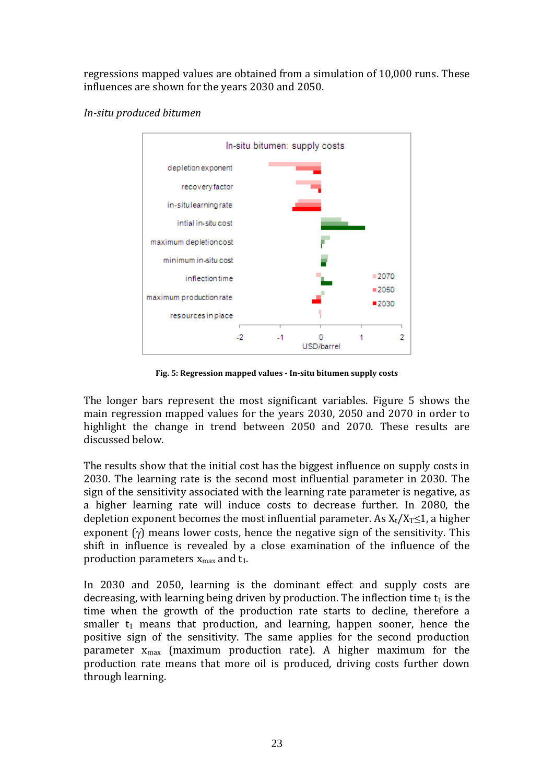regressions mapped values are obtained from a simulation of 10,000 runs. These influences are shown for the years 2030 and 2050.





**Fig. 5: Regression mapped values - In-situ bitumen supply costs**

The longer bars represent the most significant variables. Figure 5 shows the main regression mapped values for the years 2030, 2050 and 2070 in order to highlight the change in trend between 2050 and 2070. These results are discussed below.

The results show that the initial cost has the biggest influence on supply costs in 2030. The learning rate is the second most influential parameter in 2030. The sign of the sensitivity associated with the learning rate parameter is negative, as a higher learning rate will induce costs to decrease further. In 2080, the depletion exponent becomes the most influential parameter. As  $X_t/X_T \leq 1$ , a higher exponent  $(y)$  means lower costs, hence the negative sign of the sensitivity. This shift in influence is revealed by a close examination of the influence of the production parameters  $x_{max}$  and  $t_1$ .

In 2030 and 2050, learning is the dominant effect and supply costs are decreasing, with learning being driven by production. The inflection time  $t_1$  is the time when the growth of the production rate starts to decline, therefore a smaller  $t_1$  means that production, and learning, happen sooner, hence the positive sign of the sensitivity. The same applies for the second production parameter  $x_{max}$  (maximum production rate). A higher maximum for the production rate means that more oil is produced, driving costs further down through learning.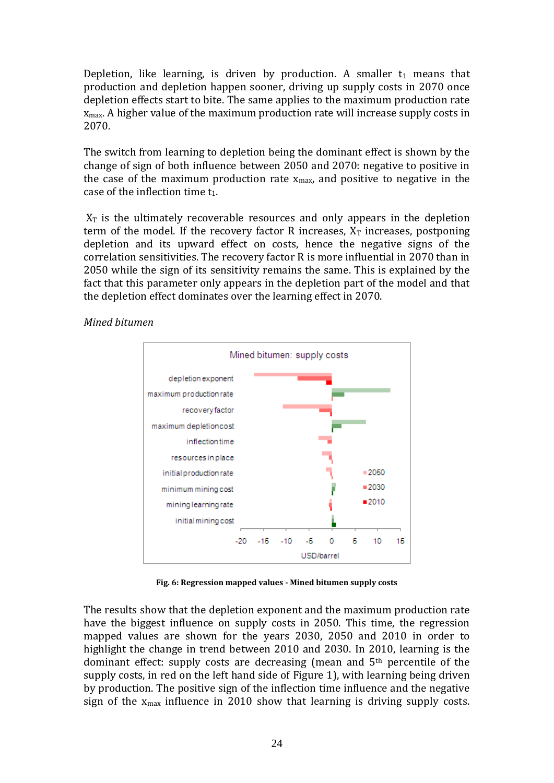Depletion, like learning, is driven by production. A smaller  $t_1$  means that production and depletion happen sooner, driving up supply costs in 2070 once depletion effects start to bite. The same applies to the maximum production rate  $x_{\text{max}}$ . A higher value of the maximum production rate will increase supply costs in 2070.

The switch from learning to depletion being the dominant effect is shown by the change of sign of both influence between 2050 and 2070: negative to positive in the case of the maximum production rate  $x_{max}$ , and positive to negative in the case of the inflection time  $t_1$ .

 $X_T$  is the ultimately recoverable resources and only appears in the depletion term of the model. If the recovery factor R increases,  $X_T$  increases, postponing depletion and its upward effect on costs, hence the negative signs of the correlation sensitivities. The recovery factor R is more influential in 2070 than in 2050 while the sign of its sensitivity remains the same. This is explained by the fact that this parameter only appears in the depletion part of the model and that the depletion effect dominates over the learning effect in 2070.

> Mined bitumen: supply costs depletion exponent maximum production rate recovery factor maximum depletioncost inflection time resources in place initial production rate  $= 2050$ ■2030 minimum mining cost ■2010 mining learning rate initial mining cost  $-15 - 10$ 10 15  $-20$ -5  $\mathbf{0}$ Б USD/barrel

*Mined bitumen*

**Fig. 6: Regression mapped values - Mined bitumen supply costs**

The results show that the depletion exponent and the maximum production rate have the biggest influence on supply costs in 2050. This time, the regression mapped values are shown for the years 2030, 2050 and 2010 in order to highlight the change in trend between 2010 and 2030. In 2010, learning is the dominant effect: supply costs are decreasing (mean and 5th percentile of the supply costs, in red on the left hand side of Figure 1), with learning being driven by production. The positive sign of the inflection time influence and the negative sign of the  $x_{max}$  influence in 2010 show that learning is driving supply costs.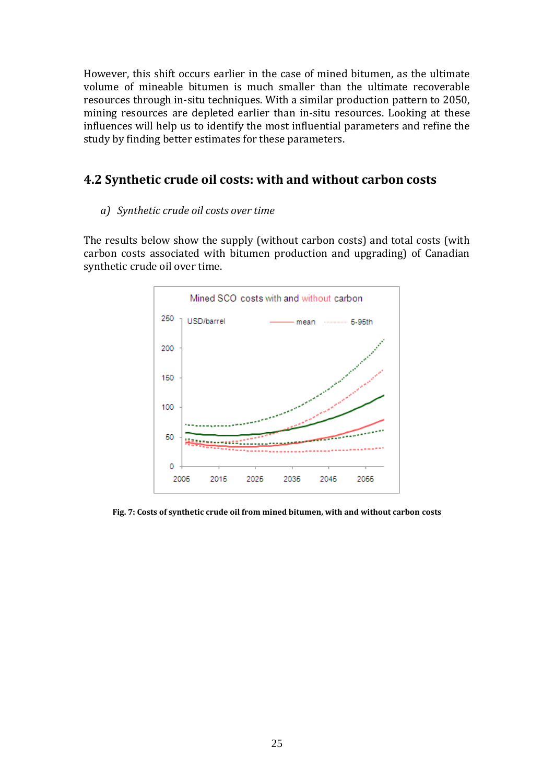However, this shift occurs earlier in the case of mined bitumen, as the ultimate volume of mineable bitumen is much smaller than the ultimate recoverable resources through in-situ techniques. With a similar production pattern to 2050, mining resources are depleted earlier than in-situ resources. Looking at these influences will help us to identify the most influential parameters and refine the study by finding better estimates for these parameters.

# **4.2 Synthetic crude oil costs: with and without carbon costs**

#### *a) Synthetic crude oil costs over time*

The results below show the supply (without carbon costs) and total costs (with carbon costs associated with bitumen production and upgrading) of Canadian synthetic crude oil over time.



**Fig. 7: Costs of synthetic crude oil from mined bitumen, with and without carbon costs**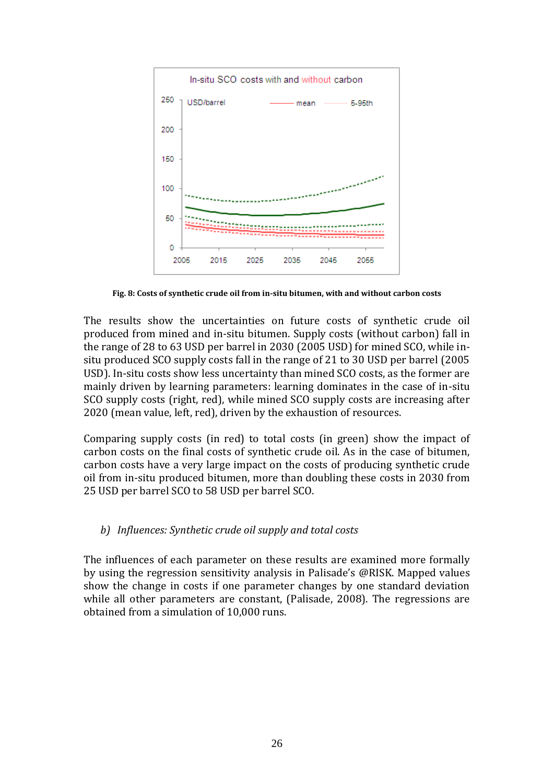

**Fig. 8: Costs of synthetic crude oil from in-situ bitumen, with and without carbon costs**

The results show the uncertainties on future costs of synthetic crude oil produced from mined and in-situ bitumen. Supply costs (without carbon) fall in the range of 28 to 63 USD per barrel in 2030 (2005 USD) for mined SCO, while insitu produced SCO supply costs fall in the range of 21 to 30 USD per barrel (2005 USD). In-situ costs show less uncertainty than mined SCO costs, as the former are mainly driven by learning parameters: learning dominates in the case of in-situ SCO supply costs (right, red), while mined SCO supply costs are increasing after 2020 (mean value, left, red), driven by the exhaustion of resources.

Comparing supply costs (in red) to total costs (in green) show the impact of carbon costs on the final costs of synthetic crude oil. As in the case of bitumen, carbon costs have a very large impact on the costs of producing synthetic crude oil from in-situ produced bitumen, more than doubling these costs in 2030 from 25 USD per barrel SCO to 58 USD per barrel SCO.

### *b) Influences: Synthetic crude oil supply and total costs*

The influences of each parameter on these results are examined more formally by using the regression sensitivity analysis in Palisade's @RISK. Mapped values show the change in costs if one parameter changes by one standard deviation while all other parameters are constant, (Palisade, 2008). The regressions are obtained from a simulation of 10,000 runs.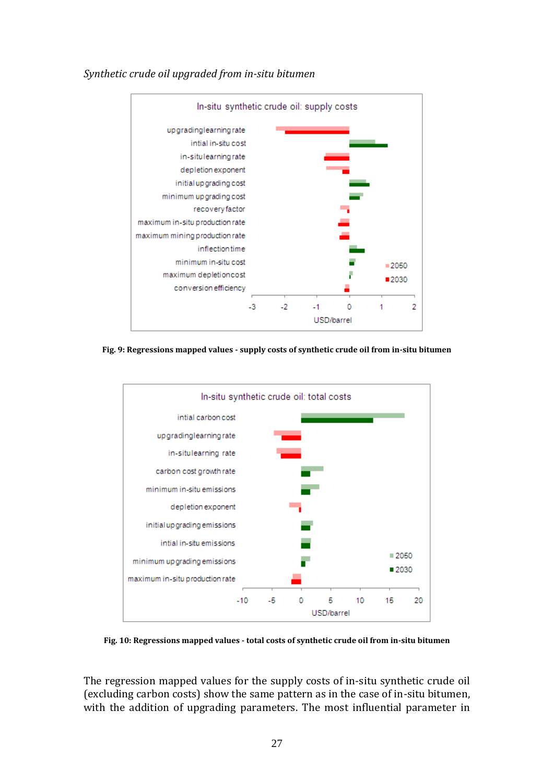

#### *Synthetic crude oil upgraded from in-situ bitumen*

**Fig. 9: Regressions mapped values - supply costs of synthetic crude oil from in-situ bitumen**



**Fig. 10: Regressions mapped values - total costs of synthetic crude oil from in-situ bitumen**

The regression mapped values for the supply costs of in-situ synthetic crude oil (excluding carbon costs) show the same pattern as in the case of in-situ bitumen, with the addition of upgrading parameters. The most influential parameter in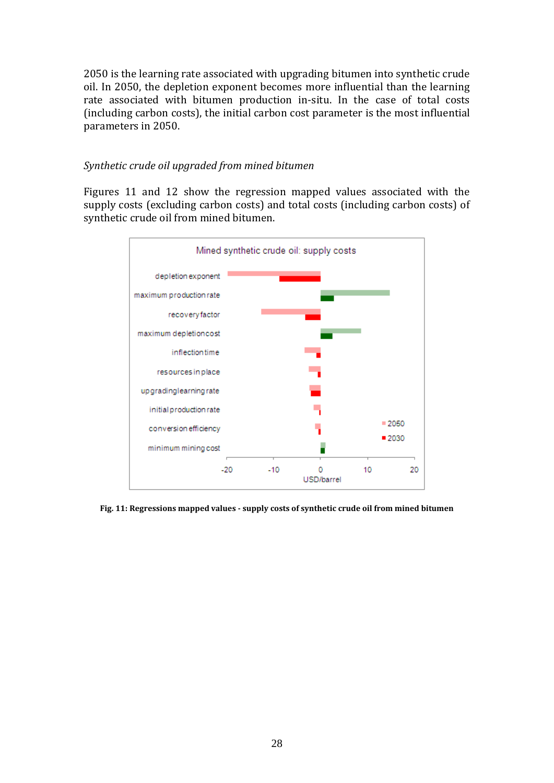2050 is the learning rate associated with upgrading bitumen into synthetic crude oil. In 2050, the depletion exponent becomes more influential than the learning rate associated with bitumen production in-situ. In the case of total costs (including carbon costs), the initial carbon cost parameter is the most influential parameters in 2050.

#### *Synthetic crude oil upgraded from mined bitumen*

Figures 11 and 12 show the regression mapped values associated with the supply costs (excluding carbon costs) and total costs (including carbon costs) of synthetic crude oil from mined bitumen.



**Fig. 11: Regressions mapped values - supply costs of synthetic crude oil from mined bitumen**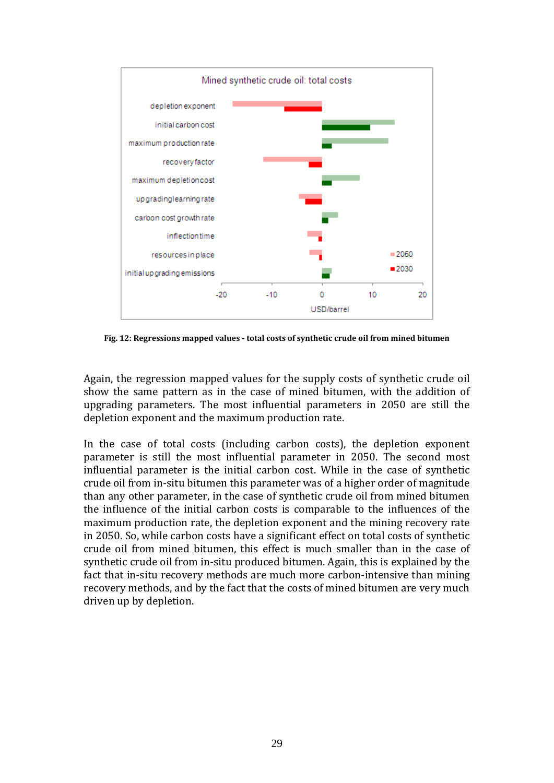

**Fig. 12: Regressions mapped values - total costs of synthetic crude oil from mined bitumen**

Again, the regression mapped values for the supply costs of synthetic crude oil show the same pattern as in the case of mined bitumen, with the addition of upgrading parameters. The most influential parameters in 2050 are still the depletion exponent and the maximum production rate.

In the case of total costs (including carbon costs), the depletion exponent parameter is still the most influential parameter in 2050. The second most influential parameter is the initial carbon cost. While in the case of synthetic crude oil from in-situ bitumen this parameter was of a higher order of magnitude than any other parameter, in the case of synthetic crude oil from mined bitumen the influence of the initial carbon costs is comparable to the influences of the maximum production rate, the depletion exponent and the mining recovery rate in 2050. So, while carbon costs have a significant effect on total costs of synthetic crude oil from mined bitumen, this effect is much smaller than in the case of synthetic crude oil from in-situ produced bitumen. Again, this is explained by the fact that in-situ recovery methods are much more carbon-intensive than mining recovery methods, and by the fact that the costs of mined bitumen are very much driven up by depletion.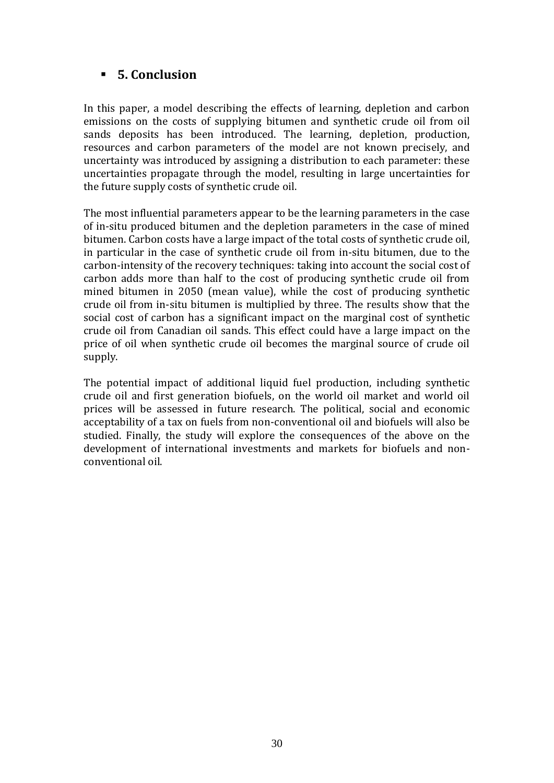# **5. Conclusion**

In this paper, a model describing the effects of learning, depletion and carbon emissions on the costs of supplying bitumen and synthetic crude oil from oil sands deposits has been introduced. The learning, depletion, production, resources and carbon parameters of the model are not known precisely, and uncertainty was introduced by assigning a distribution to each parameter: these uncertainties propagate through the model, resulting in large uncertainties for the future supply costs of synthetic crude oil.

The most influential parameters appear to be the learning parameters in the case of in-situ produced bitumen and the depletion parameters in the case of mined bitumen. Carbon costs have a large impact of the total costs of synthetic crude oil, in particular in the case of synthetic crude oil from in-situ bitumen, due to the carbon-intensity of the recovery techniques: taking into account the social cost of carbon adds more than half to the cost of producing synthetic crude oil from mined bitumen in 2050 (mean value), while the cost of producing synthetic crude oil from in-situ bitumen is multiplied by three. The results show that the social cost of carbon has a significant impact on the marginal cost of synthetic crude oil from Canadian oil sands. This effect could have a large impact on the price of oil when synthetic crude oil becomes the marginal source of crude oil supply.

The potential impact of additional liquid fuel production, including synthetic crude oil and first generation biofuels, on the world oil market and world oil prices will be assessed in future research. The political, social and economic acceptability of a tax on fuels from non-conventional oil and biofuels will also be studied. Finally, the study will explore the consequences of the above on the development of international investments and markets for biofuels and nonconventional oil.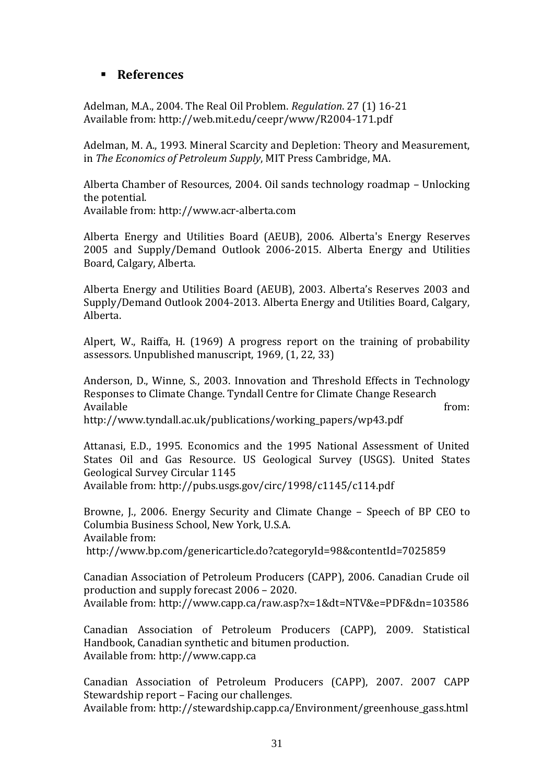# **References**

Adelman, M.A., 2004. The Real Oil Problem. *Regulation*. 27 (1) 16-21 Available from: http://web.mit.edu/ceepr/www/R2004-171.pdf

Adelman, M. A., 1993. Mineral Scarcity and Depletion: Theory and Measurement, in *The Economics of Petroleum Supply*, MIT Press Cambridge, MA.

Alberta Chamber of Resources, 2004. Oil sands technology roadmap – Unlocking the potential.

Available from: http://www.acr-alberta.com

Alberta Energy and Utilities Board (AEUB), 2006. Alberta's Energy Reserves 2005 and Supply/Demand Outlook 2006-2015. Alberta Energy and Utilities Board, Calgary, Alberta.

Alberta Energy and Utilities Board (AEUB), 2003. Alberta's Reserves 2003 and Supply/Demand Outlook 2004-2013. Alberta Energy and Utilities Board, Calgary, Alberta.

Alpert, W., Raiffa, H. (1969) A progress report on the training of probability assessors. Unpublished manuscript, 1969, (1, 22, 33)

Anderson, D., Winne, S., 2003. Innovation and Threshold Effects in Technology Responses to Climate Change. Tyndall Centre for Climate Change Research Available from: http://www.tyndall.ac.uk/publications/working\_papers/wp43.pdf

Attanasi, E.D., 1995. Economics and the 1995 National Assessment of United States Oil and Gas Resource. US Geological Survey (USGS). United States Geological Survey Circular 1145

Available from: http://pubs.usgs.gov/circ/1998/c1145/c114.pdf

Browne, J., 2006. Energy Security and Climate Change – Speech of BP CEO to Columbia Business School, New York, U.S.A. Available from: http://www.bp.com/genericarticle.do?categoryId=98&contentId=7025859

Canadian Association of Petroleum Producers (CAPP), 2006. Canadian Crude oil production and supply forecast 2006 – 2020. Available from: http://www.capp.ca/raw.asp?x=1&dt=NTV&e=PDF&dn=103586

Canadian Association of Petroleum Producers (CAPP), 2009. Statistical Handbook, Canadian synthetic and bitumen production. Available from: http://www.capp.ca

Canadian Association of Petroleum Producers (CAPP), 2007. 2007 CAPP Stewardship report – Facing our challenges.

Available from: http://stewardship.capp.ca/Environment/greenhouse\_gass.html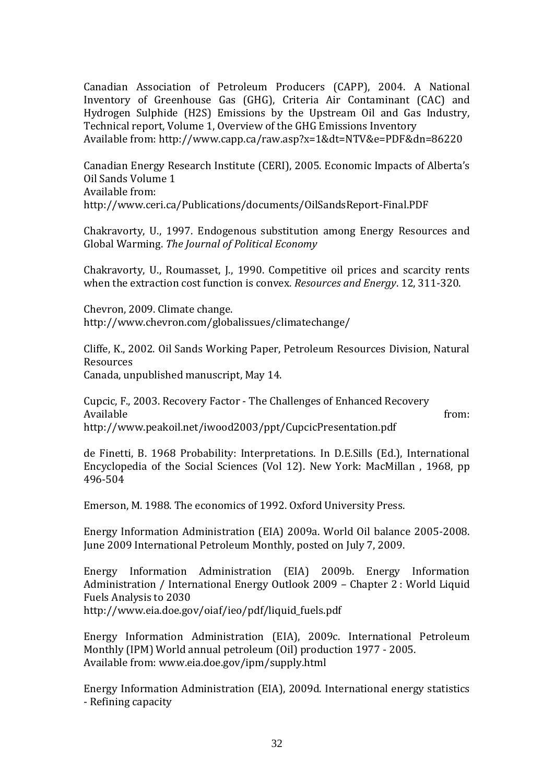Canadian Association of Petroleum Producers (CAPP), 2004. A National Inventory of Greenhouse Gas (GHG), Criteria Air Contaminant (CAC) and Hydrogen Sulphide (H2S) Emissions by the Upstream Oil and Gas Industry, Technical report, Volume 1, Overview of the GHG Emissions Inventory Available from: http://www.capp.ca/raw.asp?x=1&dt=NTV&e=PDF&dn=86220

Canadian Energy Research Institute (CERI), 2005. Economic Impacts of Alberta's Oil Sands Volume 1 Available from: http://www.ceri.ca/Publications/documents/OilSandsReport-Final.PDF

Chakravorty, U., 1997. Endogenous substitution among Energy Resources and Global Warming. *The Journal of Political Economy*

Chakravorty, U., Roumasset, J., 1990. Competitive oil prices and scarcity rents when the extraction cost function is convex. *Resources and Energy*. 12, 311-320.

Chevron, 2009. Climate change. http://www.chevron.com/globalissues/climatechange/

Cliffe, K., 2002. Oil Sands Working Paper, Petroleum Resources Division, Natural Resources Canada, unpublished manuscript, May 14.

Cupcic, F., 2003. Recovery Factor - The Challenges of Enhanced Recovery Available from: http://www.peakoil.net/iwood2003/ppt/CupcicPresentation.pdf

de Finetti, B. 1968 Probability: Interpretations. In D.E.Sills (Ed.), International Encyclopedia of the Social Sciences (Vol 12). New York: MacMillan , 1968, pp 496-504

Emerson, M. 1988. The economics of 1992. Oxford University Press.

Energy Information Administration (EIA) 2009a. World Oil balance 2005-2008. June 2009 International Petroleum Monthly, posted on July 7, 2009.

Energy Information Administration (EIA) 2009b. Energy Information Administration / International Energy Outlook 2009 – Chapter 2 : World Liquid Fuels Analysis to 2030 http://www.eia.doe.gov/oiaf/ieo/pdf/liquid\_fuels.pdf

Energy Information Administration (EIA), 2009c. International Petroleum Monthly (IPM) World annual petroleum (Oil) production 1977 - 2005. Available from: www.eia.doe.gov/ipm/supply.html

Energy Information Administration (EIA), 2009d. International energy statistics - Refining capacity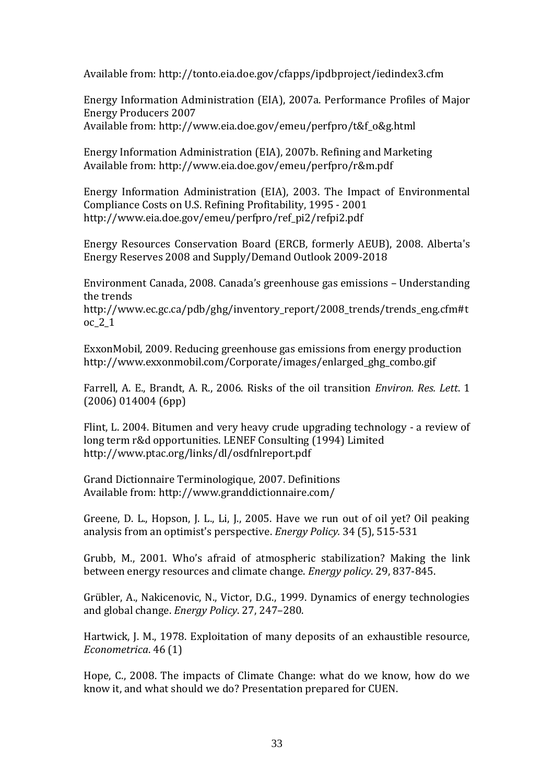Available from: http://tonto.eia.doe.gov/cfapps/ipdbproject/iedindex3.cfm

Energy Information Administration (EIA), 2007a. Performance Profiles of Major Energy Producers 2007 Available from: http://www.eia.doe.gov/emeu/perfpro/t&f\_o&g.html

Energy Information Administration (EIA), 2007b. Refining and Marketing Available from: http://www.eia.doe.gov/emeu/perfpro/r&m.pdf

Energy Information Administration (EIA), 2003. The Impact of Environmental Compliance Costs on U.S. Refining Profitability, 1995 - 2001 http://www.eia.doe.gov/emeu/perfpro/ref\_pi2/refpi2.pdf

Energy Resources Conservation Board (ERCB, formerly AEUB), 2008. Alberta's Energy Reserves 2008 and Supply/Demand Outlook 2009-2018

Environment Canada, 2008. Canada's greenhouse gas emissions – Understanding the trends

http://www.ec.gc.ca/pdb/ghg/inventory\_report/2008\_trends/trends\_eng.cfm#t oc\_2\_1

ExxonMobil, 2009. Reducing greenhouse gas emissions from energy production http://www.exxonmobil.com/Corporate/images/enlarged\_ghg\_combo.gif

Farrell, A. E., Brandt, A. R., 2006. Risks of the oil transition *Environ. Res. Lett*. 1 (2006) 014004 (6pp)

Flint, L. 2004. Bitumen and very heavy crude upgrading technology - a review of long term r&d opportunities. LENEF Consulting (1994) Limited http://www.ptac.org/links/dl/osdfnlreport.pdf

Grand Dictionnaire Terminologique, 2007. Definitions Available from: http://www.granddictionnaire.com/

Greene, D. L., Hopson, J. L., Li, J., 2005. Have we run out of oil yet? Oil peaking analysis from an optimist's perspective. *Energy Policy.* 34 (5), 515-531

Grubb, M., 2001. Who's afraid of atmospheric stabilization? Making the link between energy resources and climate change. *Energy policy*. 29, 837-845.

Grübler, A., Nakicenovic, N., Victor, D.G., 1999. Dynamics of energy technologies and global change. *Energy Policy*. 27, 247–280.

Hartwick, J. M., 1978. Exploitation of many deposits of an exhaustible resource, *Econometrica*. 46 (1)

Hope, C., 2008. The impacts of Climate Change: what do we know, how do we know it, and what should we do? Presentation prepared for CUEN.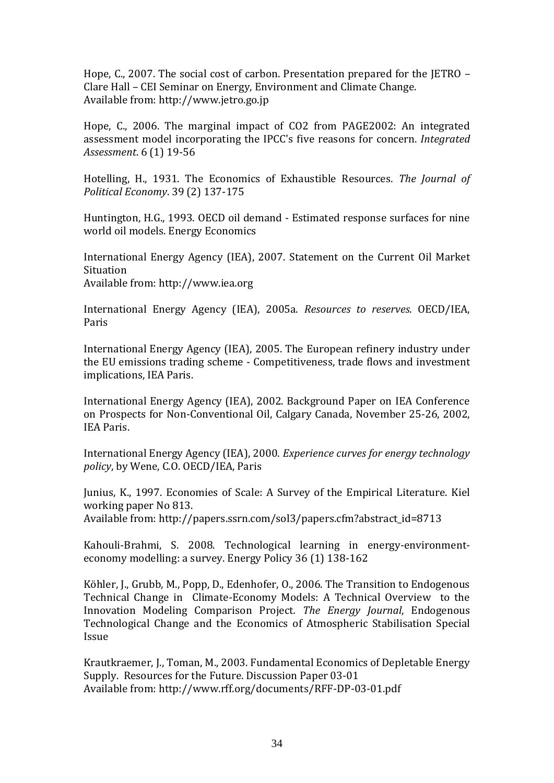Hope, C., 2007. The social cost of carbon. Presentation prepared for the JETRO – Clare Hall – CEI Seminar on Energy, Environment and Climate Change. Available from: http://www.jetro.go.jp

Hope, C., 2006. The marginal impact of CO2 from PAGE2002: An integrated assessment model incorporating the IPCC's five reasons for concern. *Integrated Assessment*. 6 (1) 19-56

Hotelling, H., 1931. The Economics of Exhaustible Resources*. The Journal of Political Economy*. 39 (2) 137-175

Huntington, H.G., 1993. OECD oil demand - Estimated response surfaces for nine world oil models. Energy Economics

International Energy Agency (IEA), 2007. Statement on the Current Oil Market Situation

Available from: http://www.iea.org

International Energy Agency (IEA), 2005a. *Resources to reserves*. OECD/IEA, Paris

International Energy Agency (IEA), 2005. The European refinery industry under the EU emissions trading scheme - Competitiveness, trade flows and investment implications, IEA Paris.

International Energy Agency (IEA), 2002. Background Paper on IEA Conference on Prospects for Non-Conventional Oil, Calgary Canada, November 25-26, 2002, IEA Paris.

International Energy Agency (IEA), 2000. *Experience curves for energy technology policy*, by Wene, C.O. OECD/IEA, Paris

Junius, K., 1997. Economies of Scale: A Survey of the Empirical Literature. Kiel working paper No 813. Available from: http://papers.ssrn.com/sol3/papers.cfm?abstract\_id=8713

Kahouli-Brahmi, S. 2008. Technological learning in energy-environmenteconomy modelling: a survey. Energy Policy 36 (1) 138-162

Köhler, J., Grubb, M., Popp, D., Edenhofer, O., 2006. The Transition to Endogenous Technical Change in Climate-Economy Models: A Technical Overview to the Innovation Modeling Comparison Project*. The Energy Journal*, Endogenous Technological Change and the Economics of Atmospheric Stabilisation Special Issue

Krautkraemer, J., Toman, M., 2003. Fundamental Economics of Depletable Energy Supply. Resources for the Future. Discussion Paper 03-01 Available from: http://www.rff.org/documents/RFF-DP-03-01.pdf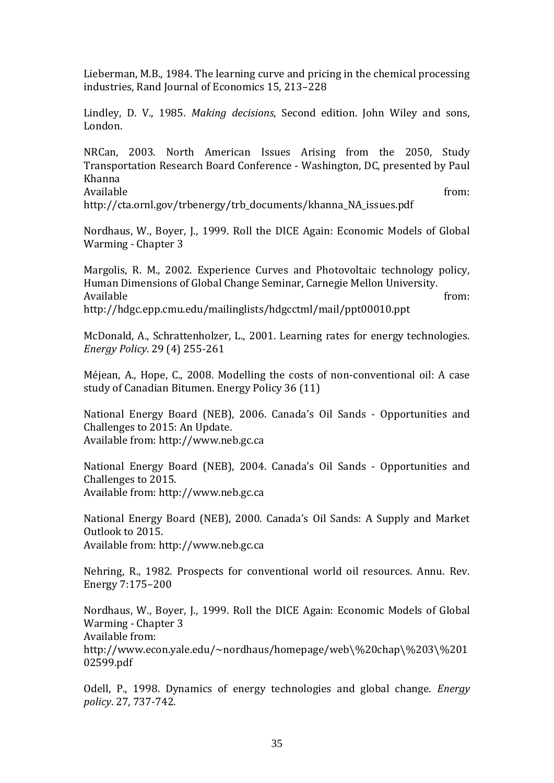Lieberman, M.B., 1984. The learning curve and pricing in the chemical processing industries, Rand Journal of Economics 15, 213–228

Lindley, D. V., 1985. *Making decisions*, Second edition. John Wiley and sons, London.

NRCan, 2003. North American Issues Arising from the 2050, Study Transportation Research Board Conference - Washington, DC, presented by Paul Khanna Available from:

http://cta.ornl.gov/trbenergy/trb\_documents/khanna\_NA\_issues.pdf

Nordhaus, W., Boyer, J., 1999. Roll the DICE Again: Economic Models of Global Warming - Chapter 3

Margolis, R. M., 2002. Experience Curves and Photovoltaic technology policy, Human Dimensions of Global Change Seminar, Carnegie Mellon University. Available from: http://hdgc.epp.cmu.edu/mailinglists/hdgcctml/mail/ppt00010.ppt

McDonald, A., Schrattenholzer, L., 2001. Learning rates for energy technologies. *Energy Policy*. 29 (4) 255-261

Méjean, A., Hope, C., 2008. Modelling the costs of non-conventional oil: A case study of Canadian Bitumen. Energy Policy 36 (11)

National Energy Board (NEB), 2006. Canada's Oil Sands - Opportunities and Challenges to 2015: An Update. Available from: http://www.neb.gc.ca

National Energy Board (NEB), 2004. Canada's Oil Sands - Opportunities and Challenges to 2015. Available from: http://www.neb.gc.ca

National Energy Board (NEB), 2000. Canada's Oil Sands: A Supply and Market Outlook to 2015.

Available from: http://www.neb.gc.ca

Nehring, R., 1982. Prospects for conventional world oil resources. Annu. Rev. Energy 7:175–200

Nordhaus, W., Boyer, J., 1999. Roll the DICE Again: Economic Models of Global Warming - Chapter 3 Available from:

http://www.econ.yale.edu/~nordhaus/homepage/web\%20chap\%203\%201 02599.pdf

Odell, P., 1998. Dynamics of energy technologies and global change. *Energy policy*. 27, 737-742.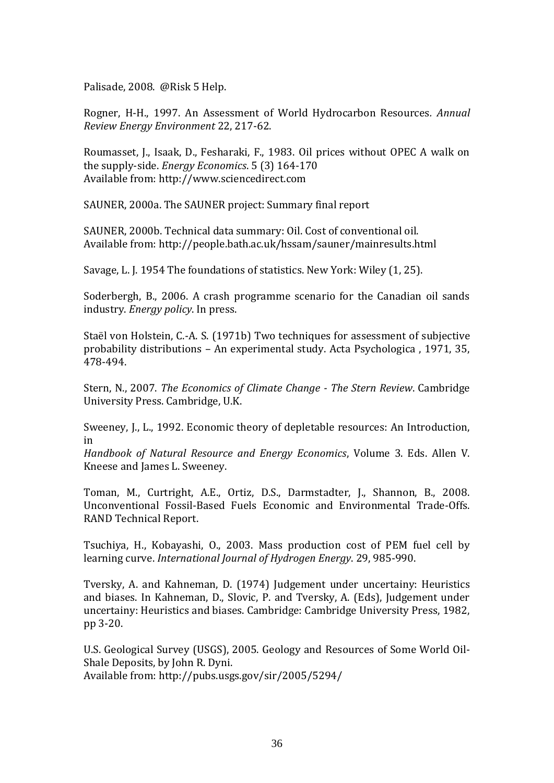Palisade, 2008. @Risk 5 Help.

Rogner, H-H., 1997. An Assessment of World Hydrocarbon Resources*. Annual Review Energy Environment* 22, 217-62.

Roumasset, J., Isaak, D., Fesharaki, F., 1983. Oil prices without OPEC A walk on the supply-side. *Energy Economics*. 5 (3) 164-170 Available from: http://www.sciencedirect.com

SAUNER, 2000a. The SAUNER project: Summary final report

SAUNER, 2000b. Technical data summary: Oil. Cost of conventional oil. Available from: http://people.bath.ac.uk/hssam/sauner/mainresults.html

Savage, L. J. 1954 The foundations of statistics. New York: Wiley (1, 25).

Soderbergh, B., 2006. A crash programme scenario for the Canadian oil sands industry. *Energy policy*. In press.

Staël von Holstein, C.-A. S. (1971b) Two techniques for assessment of subjective probability distributions – An experimental study. Acta Psychologica , 1971, 35, 478-494.

Stern, N., 2007. *The Economics of Climate Change - The Stern Review*. Cambridge University Press. Cambridge, U.K.

Sweeney, J., L., 1992. Economic theory of depletable resources: An Introduction, in

*Handbook of Natural Resource and Energy Economics*, Volume 3. Eds. Allen V. Kneese and James L. Sweeney.

Toman, M., Curtright, A.E., Ortiz, D.S., Darmstadter, J., Shannon, B., 2008. Unconventional Fossil-Based Fuels Economic and Environmental Trade-Offs. RAND Technical Report.

Tsuchiya, H., Kobayashi, O., 2003. Mass production cost of PEM fuel cell by learning curve. *International Journal of Hydrogen Energy*. 29, 985-990.

Tversky, A. and Kahneman, D. (1974) Judgement under uncertainy: Heuristics and biases. In Kahneman, D., Slovic, P. and Tversky, A. (Eds), Judgement under uncertainy: Heuristics and biases. Cambridge: Cambridge University Press, 1982, pp 3-20.

U.S. Geological Survey (USGS), 2005. Geology and Resources of Some World Oil-Shale Deposits, by John R. Dyni. Available from: http://pubs.usgs.gov/sir/2005/5294/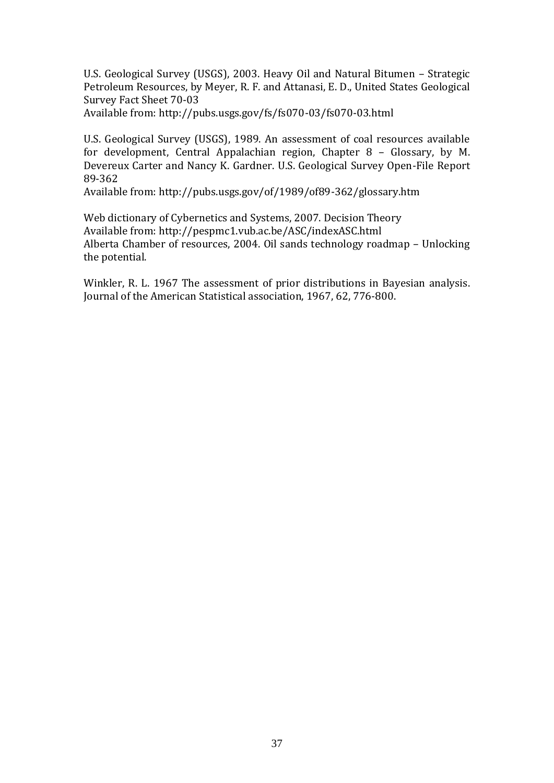U.S. Geological Survey (USGS), 2003. Heavy Oil and Natural Bitumen – Strategic Petroleum Resources, by Meyer, R. F. and Attanasi, E. D., United States Geological Survey Fact Sheet 70-03

Available from: http://pubs.usgs.gov/fs/fs070-03/fs070-03.html

U.S. Geological Survey (USGS), 1989. An assessment of coal resources available for development, Central Appalachian region, Chapter 8 – Glossary, by M. Devereux Carter and Nancy K. Gardner. U.S. Geological Survey Open-File Report 89-362

Available from: http://pubs.usgs.gov/of/1989/of89-362/glossary.htm

Web dictionary of Cybernetics and Systems, 2007. Decision Theory Available from: http://pespmc1.vub.ac.be/ASC/indexASC.html Alberta Chamber of resources, 2004. Oil sands technology roadmap – Unlocking the potential.

Winkler, R. L. 1967 The assessment of prior distributions in Bayesian analysis. Journal of the American Statistical association, 1967, 62, 776-800.